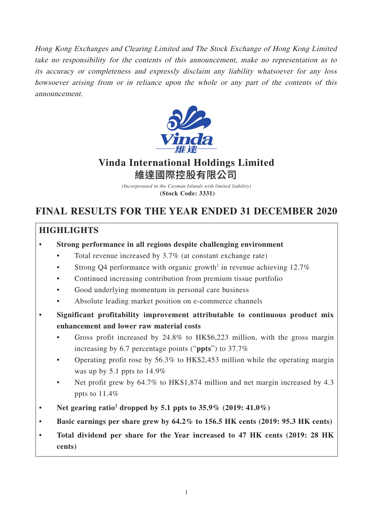Hong Kong Exchanges and Clearing Limited and The Stock Exchange of Hong Kong Limited take no responsibility for the contents of this announcement, make no representation as to its accuracy or completeness and expressly disclaim any liability whatsoever for any loss howsoever arising from or in reliance upon the whole or any part of the contents of this announcement.



# **Vinda International Holdings Limited** 維達國際控股有限公司

*(Incorporated in the Cayman Islands with limited liability)* **(Stock Code: 3331)**

# **FINAL RESULTS FOR THE YEAR ENDED 31 DECEMBER 2020**

# **HIGHLIGHTS**

- **Strong performance in all regions despite challenging environment**
	- Total revenue increased by  $3.7\%$  (at constant exchange rate)
	- Strong Q4 performance with organic growth<sup>1</sup> in revenue achieving  $12.7\%$
	- Continued increasing contribution from premium tissue portfolio
	- Good underlying momentum in personal care business
	- Absolute leading market position on e-commerce channels
- **Significant profitability improvement attributable to continuous product mix enhancement and lower raw material costs** 
	- Gross profit increased by 24.8% to HK\$6,223 million, with the gross margin increasing by 6.7 percentage points ("**ppts**") to 37.7%
	- Operating profit rose by 56.3% to HK\$2,453 million while the operating margin was up by 5.1 ppts to 14.9%
	- Net profit grew by 64.7% to HK\$1,874 million and net margin increased by 4.3 ppts to 11.4%
- Net gearing ratio<sup>2</sup> dropped by 5.1 ppts to  $35.9\%$   $(2019: 41.0\%)$
- **Basic earnings per share grew by 64.2% to 156.5 HK cents (2019: 95.3 HK cents)**
- **Total dividend per share for the Year increased to 47 HK cents (2019: 28 HK cents)**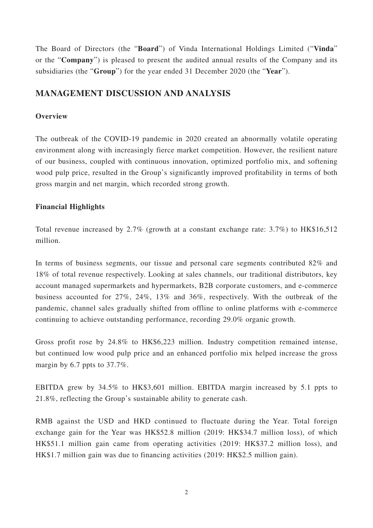The Board of Directors (the "**Board**") of Vinda International Holdings Limited ("**Vinda**" or the "**Company**") is pleased to present the audited annual results of the Company and its subsidiaries (the "**Group**") for the year ended 31 December 2020 (the "**Year**").

# **MANAGEMENT DISCUSSION AND ANALYSIS**

# **Overview**

The outbreak of the COVID-19 pandemic in 2020 created an abnormally volatile operating environment along with increasingly fierce market competition. However, the resilient nature of our business, coupled with continuous innovation, optimized portfolio mix, and softening wood pulp price, resulted in the Group's significantly improved profitability in terms of both gross margin and net margin, which recorded strong growth.

# **Financial Highlights**

Total revenue increased by 2.7% (growth at a constant exchange rate: 3.7%) to HK\$16,512 million.

In terms of business segments, our tissue and personal care segments contributed 82% and 18% of total revenue respectively. Looking at sales channels, our traditional distributors, key account managed supermarkets and hypermarkets, B2B corporate customers, and e-commerce business accounted for 27%, 24%, 13% and 36%, respectively. With the outbreak of the pandemic, channel sales gradually shifted from offline to online platforms with e-commerce continuing to achieve outstanding performance, recording 29.0% organic growth.

Gross profit rose by 24.8% to HK\$6,223 million. Industry competition remained intense, but continued low wood pulp price and an enhanced portfolio mix helped increase the gross margin by 6.7 ppts to 37.7%.

EBITDA grew by 34.5% to HK\$3,601 million. EBITDA margin increased by 5.1 ppts to 21.8%, reflecting the Group's sustainable ability to generate cash.

RMB against the USD and HKD continued to fluctuate during the Year. Total foreign exchange gain for the Year was HK\$52.8 million (2019: HK\$34.7 million loss), of which HK\$51.1 million gain came from operating activities (2019: HK\$37.2 million loss), and HK\$1.7 million gain was due to financing activities (2019: HK\$2.5 million gain).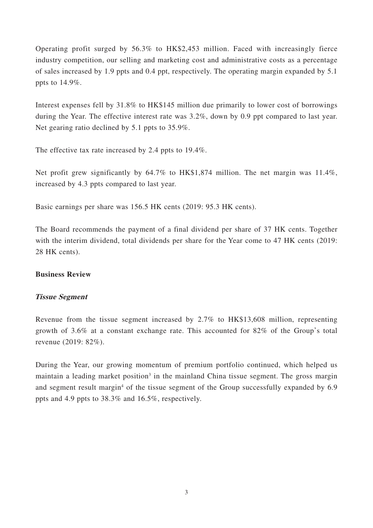Operating profit surged by 56.3% to HK\$2,453 million. Faced with increasingly fierce industry competition, our selling and marketing cost and administrative costs as a percentage of sales increased by 1.9 ppts and 0.4 ppt, respectively. The operating margin expanded by 5.1 ppts to 14.9%.

Interest expenses fell by 31.8% to HK\$145 million due primarily to lower cost of borrowings during the Year. The effective interest rate was 3.2%, down by 0.9 ppt compared to last year. Net gearing ratio declined by 5.1 ppts to 35.9%.

The effective tax rate increased by 2.4 ppts to 19.4%.

Net profit grew significantly by 64.7% to HK\$1,874 million. The net margin was 11.4%, increased by 4.3 ppts compared to last year.

Basic earnings per share was 156.5 HK cents (2019: 95.3 HK cents).

The Board recommends the payment of a final dividend per share of 37 HK cents. Together with the interim dividend, total dividends per share for the Year come to 47 HK cents (2019: 28 HK cents).

# **Business Review**

# **Tissue Segment**

Revenue from the tissue segment increased by 2.7% to HK\$13,608 million, representing growth of 3.6% at a constant exchange rate. This accounted for 82% of the Group's total revenue (2019: 82%).

During the Year, our growing momentum of premium portfolio continued, which helped us maintain a leading market position<sup>3</sup> in the mainland China tissue segment. The gross margin and segment result margin<sup>4</sup> of the tissue segment of the Group successfully expanded by 6.9 ppts and 4.9 ppts to 38.3% and 16.5%, respectively.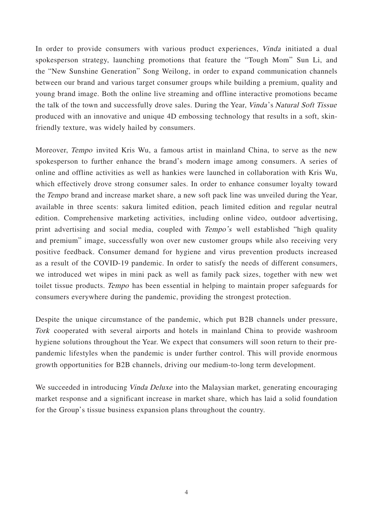In order to provide consumers with various product experiences, Vinda initiated a dual spokesperson strategy, launching promotions that feature the "Tough Mom" Sun Li, and the "New Sunshine Generation" Song Weilong, in order to expand communication channels between our brand and various target consumer groups while building a premium, quality and young brand image. Both the online live streaming and offline interactive promotions became the talk of the town and successfully drove sales. During the Year, Vinda 's Natural Soft Tissue produced with an innovative and unique 4D embossing technology that results in a soft, skinfriendly texture, was widely hailed by consumers.

Moreover, Tempo invited Kris Wu, a famous artist in mainland China, to serve as the new spokesperson to further enhance the brand's modern image among consumers. A series of online and offline activities as well as hankies were launched in collaboration with Kris Wu, which effectively drove strong consumer sales. In order to enhance consumer loyalty toward the Tempo brand and increase market share, a new soft pack line was unveiled during the Year, available in three scents: sakura limited edition, peach limited edition and regular neutral edition. Comprehensive marketing activities, including online video, outdoor advertising, print advertising and social media, coupled with Tempo's well established "high quality and premium" image, successfully won over new customer groups while also receiving very positive feedback. Consumer demand for hygiene and virus prevention products increased as a result of the COVID-19 pandemic. In order to satisfy the needs of different consumers, we introduced wet wipes in mini pack as well as family pack sizes, together with new wet toilet tissue products. Tempo has been essential in helping to maintain proper safeguards for consumers everywhere during the pandemic, providing the strongest protection.

Despite the unique circumstance of the pandemic, which put B2B channels under pressure, Tork cooperated with several airports and hotels in mainland China to provide washroom hygiene solutions throughout the Year. We expect that consumers will soon return to their prepandemic lifestyles when the pandemic is under further control. This will provide enormous growth opportunities for B2B channels, driving our medium-to-long term development.

We succeeded in introducing *Vinda Deluxe* into the Malaysian market, generating encouraging market response and a significant increase in market share, which has laid a solid foundation for the Group's tissue business expansion plans throughout the country.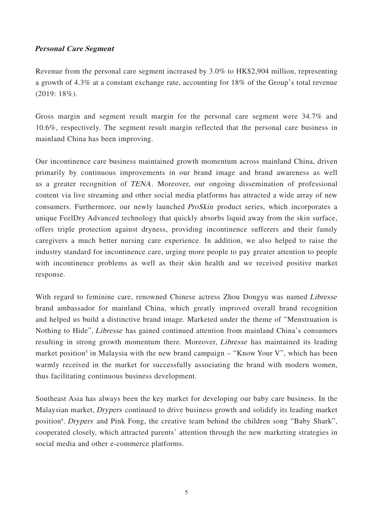# **Personal Care Segment**

Revenue from the personal care segment increased by 3.0% to HK\$2,904 million, representing a growth of 4.3% at a constant exchange rate, accounting for 18% of the Group's total revenue (2019: 18%).

Gross margin and segment result margin for the personal care segment were 34.7% and 10.6%, respectively. The segment result margin reflected that the personal care business in mainland China has been improving.

Our incontinence care business maintained growth momentum across mainland China, driven primarily by continuous improvements in our brand image and brand awareness as well as a greater recognition of TENA. Moreover, our ongoing dissemination of professional content via live streaming and other social media platforms has attracted a wide array of new consumers. Furthermore, our newly launched ProSkin product series, which incorporates a unique FeelDry Advanced technology that quickly absorbs liquid away from the skin surface, offers triple protection against dryness, providing incontinence sufferers and their family caregivers a much better nursing care experience. In addition, we also helped to raise the industry standard for incontinence care, urging more people to pay greater attention to people with incontinence problems as well as their skin health and we received positive market response.

With regard to feminine care, renowned Chinese actress Zhou Dongyu was named Libresse brand ambassador for mainland China, which greatly improved overall brand recognition and helped us build a distinctive brand image. Marketed under the theme of "Menstruation is Nothing to Hide", Libresse has gained continued attention from mainland China's consumers resulting in strong growth momentum there. Moreover, Libresse has maintained its leading market position<sup>5</sup> in Malaysia with the new brand campaign – "Know Your V", which has been warmly received in the market for successfully associating the brand with modern women, thus facilitating continuous business development.

Southeast Asia has always been the key market for developing our baby care business. In the Malaysian market, Drypers continued to drive business growth and solidify its leading market position<sup>6</sup>. Drypers and Pink Fong, the creative team behind the children song "Baby Shark", cooperated closely, which attracted parents' attention through the new marketing strategies in social media and other e-commerce platforms.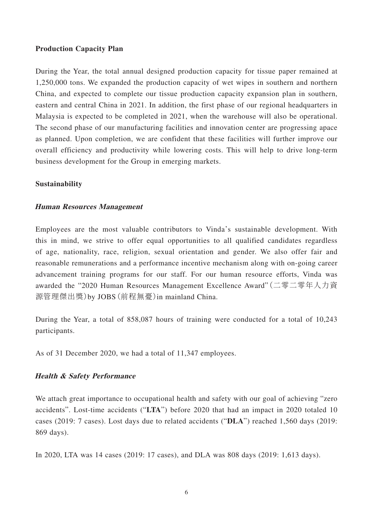### **Production Capacity Plan**

During the Year, the total annual designed production capacity for tissue paper remained at 1,250,000 tons. We expanded the production capacity of wet wipes in southern and northern China, and expected to complete our tissue production capacity expansion plan in southern, eastern and central China in 2021. In addition, the first phase of our regional headquarters in Malaysia is expected to be completed in 2021, when the warehouse will also be operational. The second phase of our manufacturing facilities and innovation center are progressing apace as planned. Upon completion, we are confident that these facilities will further improve our overall efficiency and productivity while lowering costs. This will help to drive long-term business development for the Group in emerging markets.

#### **Sustainability**

#### **Human Resources Management**

Employees are the most valuable contributors to Vinda's sustainable development. With this in mind, we strive to offer equal opportunities to all qualified candidates regardless of age, nationality, race, religion, sexual orientation and gender. We also offer fair and reasonable remunerations and a performance incentive mechanism along with on-going career advancement training programs for our staff. For our human resource efforts, Vinda was awarded the "2020 Human Resources Management Excellence Award"(二零二零年人力資 源管理傑出獎)by JOBS(前程無憂)in mainland China.

During the Year, a total of 858,087 hours of training were conducted for a total of 10,243 participants.

As of 31 December 2020, we had a total of 11,347 employees.

# **Health & Safety Performance**

We attach great importance to occupational health and safety with our goal of achieving "zero" accidents". Lost-time accidents ("**LTA**") before 2020 that had an impact in 2020 totaled 10 cases (2019: 7 cases). Lost days due to related accidents ("**DLA**") reached 1,560 days (2019: 869 days).

In 2020, LTA was 14 cases (2019: 17 cases), and DLA was 808 days (2019: 1,613 days).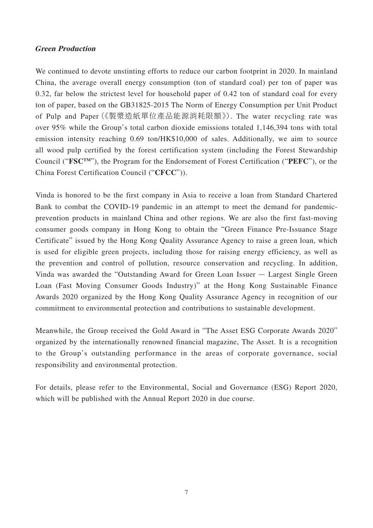# **Green Production**

We continued to devote unstinting efforts to reduce our carbon footprint in 2020. In mainland China, the average overall energy consumption (ton of standard coal) per ton of paper was 0.32, far below the strictest level for household paper of 0.42 ton of standard coal for every ton of paper, based on the GB31825-2015 The Norm of Energy Consumption per Unit Product of Pulp and Paper(《製漿造紙單位產品能源消耗限額》). The water recycling rate was over 95% while the Group's total carbon dioxide emissions totaled 1,146,394 tons with total emission intensity reaching 0.69 ton/HK\$10,000 of sales. Additionally, we aim to source all wood pulp certified by the forest certification system (including the Forest Stewardship Council ("**FSCTM**"), the Program for the Endorsement of Forest Certification ("**PEFC**"), or the China Forest Certification Council ("**CFCC**")).

Vinda is honored to be the first company in Asia to receive a loan from Standard Chartered Bank to combat the COVID-19 pandemic in an attempt to meet the demand for pandemicprevention products in mainland China and other regions. We are also the first fast-moving consumer goods company in Hong Kong to obtain the "Green Finance Pre-Issuance Stage Certificate" issued by the Hong Kong Quality Assurance Agency to raise a green loan, which is used for eligible green projects, including those for raising energy efficiency, as well as the prevention and control of pollution, resource conservation and recycling. In addition, Vinda was awarded the "Outstanding Award for Green Loan Issuer — Largest Single Green Loan (Fast Moving Consumer Goods Industry)" at the Hong Kong Sustainable Finance Awards 2020 organized by the Hong Kong Quality Assurance Agency in recognition of our commitment to environmental protection and contributions to sustainable development.

Meanwhile, the Group received the Gold Award in "The Asset ESG Corporate Awards 2020" organized by the internationally renowned financial magazine, The Asset. It is a recognition to the Group's outstanding performance in the areas of corporate governance, social responsibility and environmental protection.

For details, please refer to the Environmental, Social and Governance (ESG) Report 2020, which will be published with the Annual Report 2020 in due course.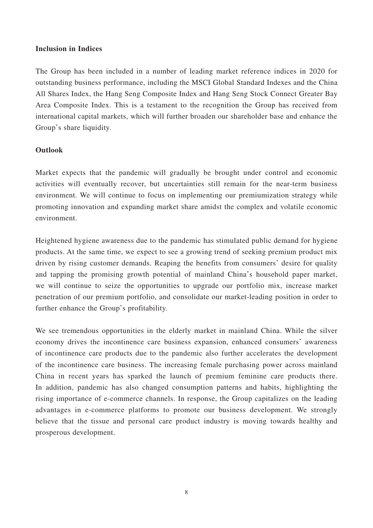# **Inclusion in Indices**

The Group has been included in a number of leading market reference indices in 2020 for outstanding business performance, including the MSCI Global Standard Indexes and the China All Shares Index, the Hang Seng Composite Index and Hang Seng Stock Connect Greater Bay Area Composite Index. This is a testament to the recognition the Group has received from international capital markets, which will further broaden our shareholder base and enhance the Group's share liquidity.

# **Outlook**

Market expects that the pandemic will gradually be brought under control and economic activities will eventually recover, but uncertainties still remain for the near-term business environment. We will continue to focus on implementing our premiumization strategy while promoting innovation and expanding market share amidst the complex and volatile economic environment.

Heightened hygiene awareness due to the pandemic has stimulated public demand for hygiene products. At the same time, we expect to see a growing trend of seeking premium product mix driven by rising customer demands. Reaping the benefits from consumers' desire for quality and tapping the promising growth potential of mainland China's household paper market, we will continue to seize the opportunities to upgrade our portfolio mix, increase market penetration of our premium portfolio, and consolidate our market-leading position in order to further enhance the Group's profitability.

We see tremendous opportunities in the elderly market in mainland China. While the silver economy drives the incontinence care business expansion, enhanced consumers' awareness of incontinence care products due to the pandemic also further accelerates the development of the incontinence care business. The increasing female purchasing power across mainland China in recent years has sparked the launch of premium feminine care products there. In addition, pandemic has also changed consumption patterns and habits, highlighting the rising importance of e-commerce channels. In response, the Group capitalizes on the leading advantages in e-commerce platforms to promote our business development. We strongly believe that the tissue and personal care product industry is moving towards healthy and prosperous development.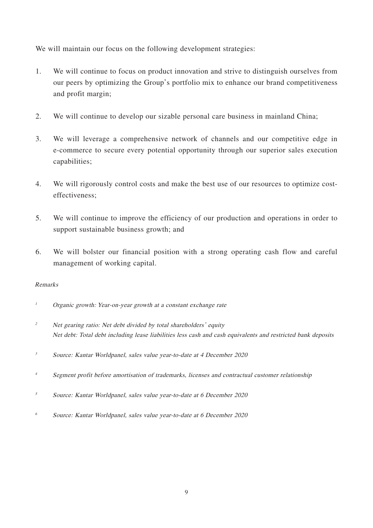We will maintain our focus on the following development strategies:

- 1. We will continue to focus on product innovation and strive to distinguish ourselves from our peers by optimizing the Group's portfolio mix to enhance our brand competitiveness and profit margin;
- 2. We will continue to develop our sizable personal care business in mainland China;
- 3. We will leverage a comprehensive network of channels and our competitive edge in e-commerce to secure every potential opportunity through our superior sales execution capabilities;
- 4. We will rigorously control costs and make the best use of our resources to optimize costeffectiveness;
- 5. We will continue to improve the efficiency of our production and operations in order to support sustainable business growth; and
- 6. We will bolster our financial position with a strong operating cash flow and careful management of working capital.

# Remarks

- <sup>1</sup> Organic growth: Year-on-year growth at a constant exchange rate
- <sup>2</sup> Net gearing ratio: Net debt divided by total shareholders' equity Net debt: Total debt including lease liabilities less cash and cash equivalents and restricted bank deposits
- <sup>3</sup> Source: Kantar Worldpanel, sales value year-to-date at 4 December 2020
- <sup>4</sup> Segment profit before amortisation of trademarks, licenses and contractual customer relationship
- <sup>5</sup> Source: Kantar Worldpanel, sales value year-to-date at 6 December 2020
- 6 Source: Kantar Worldpanel, sales value year-to-date at 6 December 2020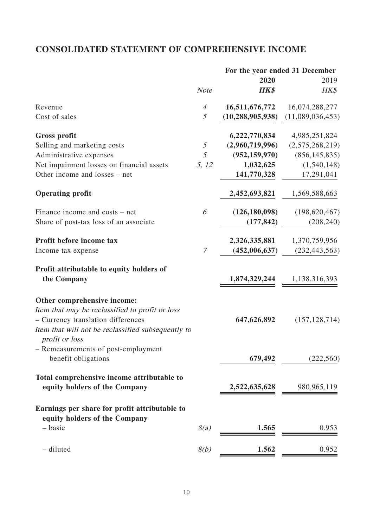# **CONSOLIDATED STATEMENT OF COMPREHENSIVE INCOME**

| 2020<br><b>HK\$</b><br><b>Note</b><br>16,511,676,772<br>Revenue<br>$\overline{A}$<br>(10, 288, 905, 938)<br>Cost of sales<br>5<br><b>Gross profit</b><br>6,222,770,834<br>$\mathfrak{H}% _{F}=\mathfrak{H}_{F}\!\left( \mathfrak{H}_{F}\right) ,$<br>(2,960,719,996)<br>Selling and marketing costs<br>5<br>(952, 159, 970)<br>Administrative expenses<br>Net impairment losses on financial assets<br>5, 12<br>1,032,625<br>Other income and losses – net<br>141,770,328<br><b>Operating profit</b><br>2,452,693,821<br>(126, 180, 098)<br>Finance income and costs – net<br>6<br>Share of post-tax loss of an associate<br>(177, 842)<br>Profit before income tax<br>2,326,335,881<br>$\mathcal I$<br>(452,006,637)<br>Income tax expense<br>Profit attributable to equity holders of<br>the Company<br>1,874,329,244<br>Other comprehensive income:<br>Item that may be reclassified to profit or loss<br>- Currency translation differences<br>647,626,892<br>Item that will not be reclassified subsequently to<br>profit or loss<br>- Remeasurements of post-employment<br>benefit obligations<br>679,492<br>Total comprehensive income attributable to<br>equity holders of the Company<br>2,522,635,628 |                                               |  | For the year ended 31 December |
|-----------------------------------------------------------------------------------------------------------------------------------------------------------------------------------------------------------------------------------------------------------------------------------------------------------------------------------------------------------------------------------------------------------------------------------------------------------------------------------------------------------------------------------------------------------------------------------------------------------------------------------------------------------------------------------------------------------------------------------------------------------------------------------------------------------------------------------------------------------------------------------------------------------------------------------------------------------------------------------------------------------------------------------------------------------------------------------------------------------------------------------------------------------------------------------------------------------------|-----------------------------------------------|--|--------------------------------|
|                                                                                                                                                                                                                                                                                                                                                                                                                                                                                                                                                                                                                                                                                                                                                                                                                                                                                                                                                                                                                                                                                                                                                                                                                 |                                               |  | 2019                           |
|                                                                                                                                                                                                                                                                                                                                                                                                                                                                                                                                                                                                                                                                                                                                                                                                                                                                                                                                                                                                                                                                                                                                                                                                                 |                                               |  | HK\$                           |
|                                                                                                                                                                                                                                                                                                                                                                                                                                                                                                                                                                                                                                                                                                                                                                                                                                                                                                                                                                                                                                                                                                                                                                                                                 |                                               |  | 16,074,288,277                 |
|                                                                                                                                                                                                                                                                                                                                                                                                                                                                                                                                                                                                                                                                                                                                                                                                                                                                                                                                                                                                                                                                                                                                                                                                                 |                                               |  | (11,089,036,453)               |
|                                                                                                                                                                                                                                                                                                                                                                                                                                                                                                                                                                                                                                                                                                                                                                                                                                                                                                                                                                                                                                                                                                                                                                                                                 |                                               |  | 4,985,251,824                  |
|                                                                                                                                                                                                                                                                                                                                                                                                                                                                                                                                                                                                                                                                                                                                                                                                                                                                                                                                                                                                                                                                                                                                                                                                                 |                                               |  | (2,575,268,219)                |
|                                                                                                                                                                                                                                                                                                                                                                                                                                                                                                                                                                                                                                                                                                                                                                                                                                                                                                                                                                                                                                                                                                                                                                                                                 |                                               |  | (856, 145, 835)                |
|                                                                                                                                                                                                                                                                                                                                                                                                                                                                                                                                                                                                                                                                                                                                                                                                                                                                                                                                                                                                                                                                                                                                                                                                                 |                                               |  | (1,540,148)                    |
|                                                                                                                                                                                                                                                                                                                                                                                                                                                                                                                                                                                                                                                                                                                                                                                                                                                                                                                                                                                                                                                                                                                                                                                                                 |                                               |  | 17,291,041                     |
|                                                                                                                                                                                                                                                                                                                                                                                                                                                                                                                                                                                                                                                                                                                                                                                                                                                                                                                                                                                                                                                                                                                                                                                                                 |                                               |  | 1,569,588,663                  |
|                                                                                                                                                                                                                                                                                                                                                                                                                                                                                                                                                                                                                                                                                                                                                                                                                                                                                                                                                                                                                                                                                                                                                                                                                 |                                               |  | (198, 620, 467)                |
|                                                                                                                                                                                                                                                                                                                                                                                                                                                                                                                                                                                                                                                                                                                                                                                                                                                                                                                                                                                                                                                                                                                                                                                                                 |                                               |  | (208, 240)                     |
|                                                                                                                                                                                                                                                                                                                                                                                                                                                                                                                                                                                                                                                                                                                                                                                                                                                                                                                                                                                                                                                                                                                                                                                                                 |                                               |  | 1,370,759,956                  |
|                                                                                                                                                                                                                                                                                                                                                                                                                                                                                                                                                                                                                                                                                                                                                                                                                                                                                                                                                                                                                                                                                                                                                                                                                 |                                               |  | (232, 443, 563)                |
|                                                                                                                                                                                                                                                                                                                                                                                                                                                                                                                                                                                                                                                                                                                                                                                                                                                                                                                                                                                                                                                                                                                                                                                                                 |                                               |  |                                |
|                                                                                                                                                                                                                                                                                                                                                                                                                                                                                                                                                                                                                                                                                                                                                                                                                                                                                                                                                                                                                                                                                                                                                                                                                 |                                               |  | 1,138,316,393                  |
|                                                                                                                                                                                                                                                                                                                                                                                                                                                                                                                                                                                                                                                                                                                                                                                                                                                                                                                                                                                                                                                                                                                                                                                                                 |                                               |  | (157, 128, 714)                |
|                                                                                                                                                                                                                                                                                                                                                                                                                                                                                                                                                                                                                                                                                                                                                                                                                                                                                                                                                                                                                                                                                                                                                                                                                 |                                               |  | (222, 560)                     |
|                                                                                                                                                                                                                                                                                                                                                                                                                                                                                                                                                                                                                                                                                                                                                                                                                                                                                                                                                                                                                                                                                                                                                                                                                 |                                               |  | 980, 965, 119                  |
|                                                                                                                                                                                                                                                                                                                                                                                                                                                                                                                                                                                                                                                                                                                                                                                                                                                                                                                                                                                                                                                                                                                                                                                                                 | Earnings per share for profit attributable to |  |                                |
| equity holders of the Company<br>8(a)<br>- basic<br>1.565                                                                                                                                                                                                                                                                                                                                                                                                                                                                                                                                                                                                                                                                                                                                                                                                                                                                                                                                                                                                                                                                                                                                                       |                                               |  | 0.953                          |
| - diluted<br>8(b)<br>1.562                                                                                                                                                                                                                                                                                                                                                                                                                                                                                                                                                                                                                                                                                                                                                                                                                                                                                                                                                                                                                                                                                                                                                                                      |                                               |  | 0.952                          |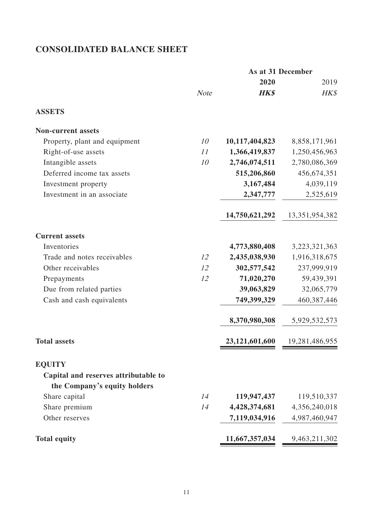# **CONSOLIDATED BALANCE SHEET**

| <b>Note</b> | 2020<br><b>HK\$</b> | 2019<br>HK\$   |
|-------------|---------------------|----------------|
|             |                     |                |
|             |                     |                |
|             |                     |                |
|             |                     |                |
| 10          | 10,117,404,823      | 8,858,171,961  |
| 11          | 1,366,419,837       | 1,250,456,963  |
| 10          | 2,746,074,511       | 2,780,086,369  |
|             | 515,206,860         | 456,674,351    |
|             | 3,167,484           | 4,039,119      |
|             | 2,347,777           | 2,525,619      |
|             | 14,750,621,292      | 13,351,954,382 |
|             |                     |                |
|             |                     | 3,223,321,363  |
| 12          | 2,435,038,930       | 1,916,318,675  |
| 12          | 302,577,542         | 237,999,919    |
| 12          | 71,020,270          | 59,439,391     |
|             | 39,063,829          | 32,065,779     |
|             | 749,399,329         | 460,387,446    |
|             | 8,370,980,308       | 5,929,532,573  |
|             | 23,121,601,600      | 19,281,486,955 |
|             |                     |                |
|             |                     |                |
|             |                     |                |
| 14          | 119,947,437         | 119,510,337    |
| 14          | 4,428,374,681       | 4,356,240,018  |
|             | 7,119,034,916       | 4,987,460,947  |
|             | 11,667,357,034      | 9,463,211,302  |
|             |                     | 4,773,880,408  |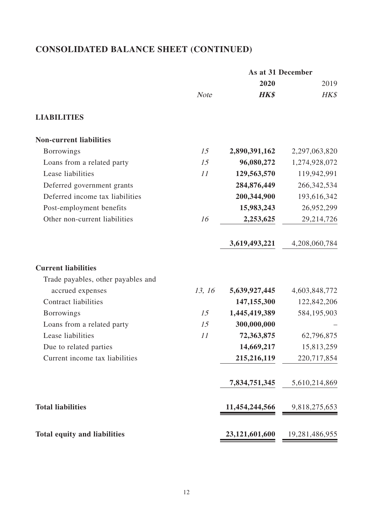# **CONSOLIDATED BALANCE SHEET (CONTINUED)**

|                                     |             | As at 31 December              |                |
|-------------------------------------|-------------|--------------------------------|----------------|
|                                     |             | 2020                           | 2019           |
|                                     | <b>Note</b> | <b>HK\$</b>                    | HK\$           |
| <b>LIABILITIES</b>                  |             |                                |                |
| <b>Non-current liabilities</b>      |             |                                |                |
| <b>Borrowings</b>                   | 15          | 2,890,391,162                  | 2,297,063,820  |
| Loans from a related party          | 15          | 96,080,272                     | 1,274,928,072  |
| Lease liabilities                   | 11          | 129,563,570                    | 119,942,991    |
| Deferred government grants          |             | 284,876,449                    | 266, 342, 534  |
| Deferred income tax liabilities     |             | 200,344,900                    | 193,616,342    |
| Post-employment benefits            |             | 15,983,243                     | 26,952,299     |
| Other non-current liabilities       | 16          | 2,253,625                      | 29,214,726     |
|                                     |             | 3,619,493,221                  | 4,208,060,784  |
| <b>Current liabilities</b>          |             |                                |                |
| Trade payables, other payables and  |             |                                |                |
| accrued expenses                    | 13, 16      | 5,639,927,445                  | 4,603,848,772  |
| <b>Contract liabilities</b>         |             | 147, 155, 300                  | 122,842,206    |
| <b>Borrowings</b>                   | 15          | 1,445,419,389                  | 584,195,903    |
| Loans from a related party          | 15          | 300,000,000                    |                |
| Lease liabilities                   | 11          | 72,363,875                     | 62,796,875     |
| Due to related parties              |             | 14,669,217                     | 15,813,259     |
| Current income tax liabilities      |             | 215,216,119                    | 220,717,854    |
|                                     |             | 7,834,751,345                  | 5,610,214,869  |
| <b>Total liabilities</b>            |             | $11,454,244,566$ 9,818,275,653 |                |
| <b>Total equity and liabilities</b> |             | 23,121,601,600                 | 19,281,486,955 |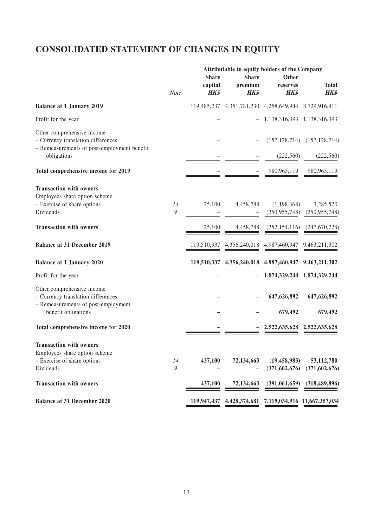# **CONSOLIDATED STATEMENT OF CHANGES IN EQUITY**

|                                                                                                                                | Attributable to equity holders of the Company                   |                                        |                                        |                                           |                                                   |
|--------------------------------------------------------------------------------------------------------------------------------|-----------------------------------------------------------------|----------------------------------------|----------------------------------------|-------------------------------------------|---------------------------------------------------|
|                                                                                                                                | Note                                                            | <b>Share</b><br>capital<br><b>HK\$</b> | <b>Share</b><br>premium<br><b>HK\$</b> | Other<br>reserves<br><b>HK\$</b>          | <b>Total</b><br><b>HK\$</b>                       |
| <b>Balance at 1 January 2019</b>                                                                                               |                                                                 | 119,485,237                            |                                        | 4,351,781,230 4,258,649,944 8,729,916,411 |                                                   |
| Profit for the year                                                                                                            |                                                                 |                                        |                                        | 1, 138, 316, 393 1, 138, 316, 393         |                                                   |
| Other comprehensive income<br>- Currency translation differences<br>- Remeasurements of post-employment benefit<br>obligations |                                                                 |                                        |                                        | (222, 560)                                | $(157, 128, 714)$ $(157, 128, 714)$<br>(222, 560) |
|                                                                                                                                |                                                                 |                                        |                                        |                                           |                                                   |
| Total comprehensive income for 2019                                                                                            |                                                                 |                                        |                                        | 980, 965, 119                             | 980, 965, 119                                     |
| <b>Transaction with owners</b><br>Employees share option scheme<br>- Exercise of share options<br>Dividends                    | 14<br>$\mathcal{G}% _{M_{1},M_{2}}^{\alpha,\beta}(\mathcal{A})$ | 25,100                                 | 4,458,788                              | (1, 198, 368)<br>(250, 955, 748)          | 3,285,520<br>(250, 955, 748)                      |
| <b>Transaction with owners</b>                                                                                                 |                                                                 | 25,100                                 | 4,458,788                              | (252, 154, 116)                           | (247,670,228)                                     |
| <b>Balance at 31 December 2019</b>                                                                                             |                                                                 | 119,510,337                            | 4,356,240,018                          | 4,987,460,947                             | 9,463,211,302                                     |
| <b>Balance at 1 January 2020</b>                                                                                               |                                                                 | 119,510,337                            |                                        | 4,356,240,018 4,987,460,947               | 9,463,211,302                                     |
| Profit for the year                                                                                                            |                                                                 |                                        |                                        | 1,874,329,244 1,874,329,244               |                                                   |
| Other comprehensive income<br>- Currency translation differences<br>- Remeasurements of post-employment<br>benefit obligations |                                                                 |                                        |                                        | 647,626,892<br>679,492                    | 647,626,892<br>679,492                            |
|                                                                                                                                |                                                                 |                                        |                                        |                                           |                                                   |
| Total comprehensive income for 2020                                                                                            |                                                                 |                                        |                                        | 2,522,635,628 2,522,635,628               |                                                   |
| <b>Transaction with owners</b><br>Employees share option scheme<br>- Exercise of share options<br>Dividends                    | 14<br>$\mathcal{G}$                                             | 437,100                                | 72,134,663                             | (19, 458, 983)<br>(371,602,676)           | 53,112,780<br>(371, 602, 676)                     |
| <b>Transaction with owners</b>                                                                                                 |                                                                 | 437,100                                | 72,134,663                             | (391,061,659)                             | (318, 489, 896)                                   |
| <b>Balance at 31 December 2020</b>                                                                                             |                                                                 | 119,947,437                            | 4,428,374,681                          |                                           | 7,119,034,916 11,667,357,034                      |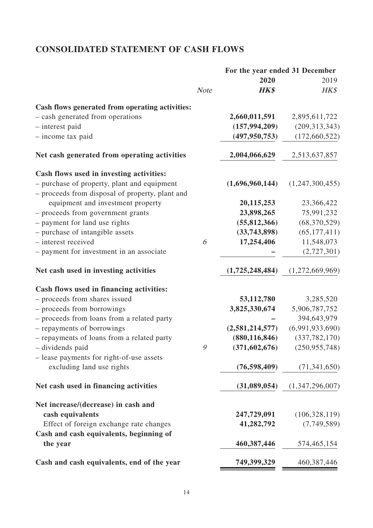# **CONSOLIDATED STATEMENT OF CASH FLOWS**

|                                                                                                |             | For the year ended 31 December |                 |  |
|------------------------------------------------------------------------------------------------|-------------|--------------------------------|-----------------|--|
|                                                                                                |             | 2020                           | 2019            |  |
|                                                                                                | <b>Note</b> | <b>HK\$</b>                    | HK\$            |  |
| Cash flows generated from operating activities:                                                |             |                                |                 |  |
| - cash generated from operations                                                               |             | 2,660,011,591                  | 2,895,611,722   |  |
| - interest paid                                                                                |             | (157, 994, 209)                | (209, 313, 343) |  |
| - income tax paid                                                                              |             | (497, 950, 753)                | (172, 660, 522) |  |
| Net cash generated from operating activities                                                   |             | 2,004,066,629                  | 2,513,637,857   |  |
| Cash flows used in investing activities:                                                       |             |                                |                 |  |
| - purchase of property, plant and equipment<br>- proceeds from disposal of property, plant and |             | (1,696,960,144)                | (1,247,300,455) |  |
| equipment and investment property                                                              |             | 20,115,253                     | 23,366,422      |  |
| - proceeds from government grants                                                              |             | 23,898,265                     | 75,991,232      |  |
| - payment for land use rights                                                                  |             | (55, 812, 366)                 | (68, 370, 529)  |  |
| - purchase of intangible assets                                                                |             | (33,743,898)                   | (65, 177, 411)  |  |
| - interest received                                                                            | 6           | 17,254,406                     | 11,548,073      |  |
| - payment for investment in an associate                                                       |             |                                | (2,727,301)     |  |
| Net cash used in investing activities                                                          |             | (1,725,248,484)                | (1,272,669,969) |  |
| Cash flows used in financing activities:                                                       |             |                                |                 |  |
| - proceeds from shares issued                                                                  |             | 53,112,780                     | 3,285,520       |  |
| - proceeds from borrowings                                                                     |             | 3,825,330,674                  | 5,906,787,752   |  |
| - proceeds from loans from a related party                                                     |             |                                | 394,643,979     |  |
| - repayments of borrowings                                                                     |             | (2,581,214,577)                | (6,991,933,690) |  |
| - repayments of loans from a related party                                                     |             | (880, 116, 846)                | (337, 782, 170) |  |
| - dividends paid                                                                               | Q           | (371, 602, 676)                | (250, 955, 748) |  |
| - lease payments for right-of-use assets                                                       |             |                                |                 |  |
| excluding land use rights                                                                      |             | (76, 598, 409)                 | (71, 341, 650)  |  |
| Net cash used in financing activities                                                          |             | (31,089,054)                   | (1,347,296,007) |  |
| Net increase/(decrease) in cash and                                                            |             |                                |                 |  |
| cash equivalents                                                                               |             | 247,729,091                    | (106, 328, 119) |  |
| Effect of foreign exchange rate changes<br>Cash and cash equivalents, beginning of             |             | 41,282,792                     | (7,749,589)     |  |
| the year                                                                                       |             | 460, 387, 446                  | 574,465,154     |  |
| Cash and cash equivalents, end of the year                                                     |             | 749,399,329                    | 460, 387, 446   |  |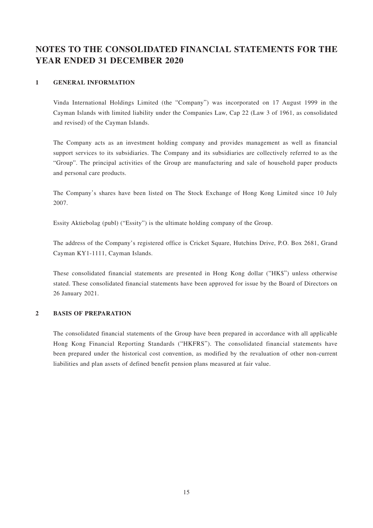# **NOTES TO THE CONSOLIDATED FINANCIAL STATEMENTS FOR THE YEAR ENDED 31 DECEMBER 2020**

#### **1 GENERAL INFORMATION**

Vinda International Holdings Limited (the "Company") was incorporated on 17 August 1999 in the Cayman Islands with limited liability under the Companies Law, Cap 22 (Law 3 of 1961, as consolidated and revised) of the Cayman Islands.

The Company acts as an investment holding company and provides management as well as financial support services to its subsidiaries. The Company and its subsidiaries are collectively referred to as the "Group". The principal activities of the Group are manufacturing and sale of household paper products and personal care products.

The Company's shares have been listed on The Stock Exchange of Hong Kong Limited since 10 July 2007.

Essity Aktiebolag (publ) ("Essity") is the ultimate holding company of the Group.

The address of the Company's registered office is Cricket Square, Hutchins Drive, P.O. Box 2681, Grand Cayman KY1-1111, Cayman Islands.

These consolidated financial statements are presented in Hong Kong dollar ("HK\$") unless otherwise stated. These consolidated financial statements have been approved for issue by the Board of Directors on 26 January 2021.

#### **2 BASIS OF PREPARATION**

The consolidated financial statements of the Group have been prepared in accordance with all applicable Hong Kong Financial Reporting Standards ("HKFRS"). The consolidated financial statements have been prepared under the historical cost convention, as modified by the revaluation of other non-current liabilities and plan assets of defined benefit pension plans measured at fair value.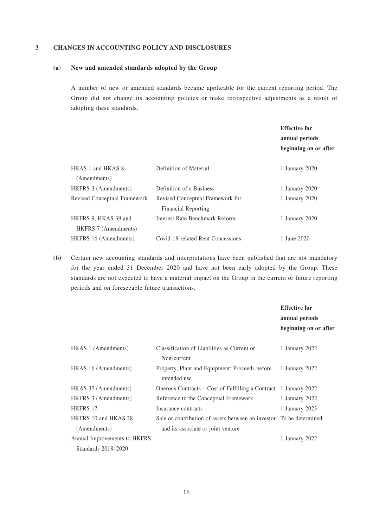#### **3 CHANGES IN ACCOUNTING POLICY AND DISCLOSURES**

#### **(a) New and amended standards adopted by the Group**

A number of new or amended standards became applicable for the current reporting period. The Group did not change its accounting policies or make retrospective adjustments as a result of adopting these standards.

|                                                     |                                                                | <b>Effective for</b><br>annual periods<br>beginning on or after |
|-----------------------------------------------------|----------------------------------------------------------------|-----------------------------------------------------------------|
| HKAS 1 and HKAS 8<br>(Amendments)                   | Definition of Material                                         | 1 January 2020                                                  |
| HKFRS 3 (Amendments)                                | Definition of a Business                                       | 1 January 2020                                                  |
| Revised Conceptual Framework                        | Revised Conceptual Framework for<br><b>Financial Reporting</b> | 1 January 2020                                                  |
| HKFRS 9, HKAS 39 and<br><b>HKFRS</b> 7 (Amendments) | Interest Rate Benchmark Reform                                 | 1 January 2020                                                  |
| HKFRS 16 (Amendments)                               | Covid-19-related Rent Concessions                              | 1 June 2020                                                     |

**(b)** Certain new accounting standards and interpretations have been published that are not mandatory for the year ended 31 December 2020 and have not been early adopted by the Group. These standards are not expected to have a material impact on the Group in the current or future reporting periods and on foreseeable future transactions.

|                              |                                                                      | <b>Effective for</b><br>annual periods<br>beginning on or after |
|------------------------------|----------------------------------------------------------------------|-----------------------------------------------------------------|
| HKAS 1 (Amendments)          | Classification of Liabilities as Current or<br>Non-current           | 1 January 2022                                                  |
| HKAS 16 (Amendments)         | Property, Plant and Equipment: Proceeds before<br>intended use       | 1 January 2022                                                  |
| HKAS 37 (Amendments)         | Onerous Contracts – Cost of Fulfilling a Contract 1 January 2022     |                                                                 |
| HKFRS 3 (Amendments)         | Reference to the Conceptual Framework                                | 1 January 2022                                                  |
| <b>HKFRS 17</b>              | Insurance contracts                                                  | 1 January 2023                                                  |
| HKFRS 10 and HKAS 28         | Sale or contribution of assets between an investor. To be determined |                                                                 |
| (Amendments)                 | and its associate or joint venture                                   |                                                                 |
| Annual Improvements to HKFRS |                                                                      | 1 January 2022                                                  |
| Standards 2018–2020          |                                                                      |                                                                 |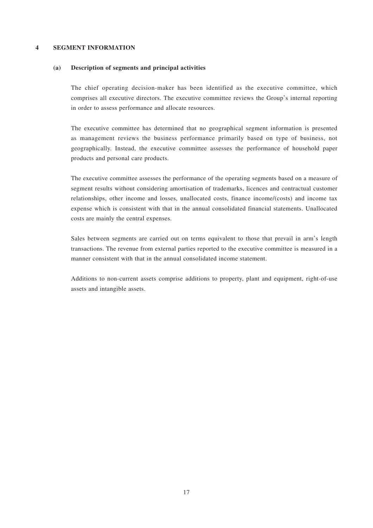#### **4 SEGMENT INFORMATION**

#### **(a) Description of segments and principal activities**

The chief operating decision-maker has been identified as the executive committee, which comprises all executive directors. The executive committee reviews the Group's internal reporting in order to assess performance and allocate resources.

The executive committee has determined that no geographical segment information is presented as management reviews the business performance primarily based on type of business, not geographically. Instead, the executive committee assesses the performance of household paper products and personal care products.

The executive committee assesses the performance of the operating segments based on a measure of segment results without considering amortisation of trademarks, licences and contractual customer relationships, other income and losses, unallocated costs, finance income/(costs) and income tax expense which is consistent with that in the annual consolidated financial statements. Unallocated costs are mainly the central expenses.

Sales between segments are carried out on terms equivalent to those that prevail in arm's length transactions. The revenue from external parties reported to the executive committee is measured in a manner consistent with that in the annual consolidated income statement.

Additions to non-current assets comprise additions to property, plant and equipment, right-of-use assets and intangible assets.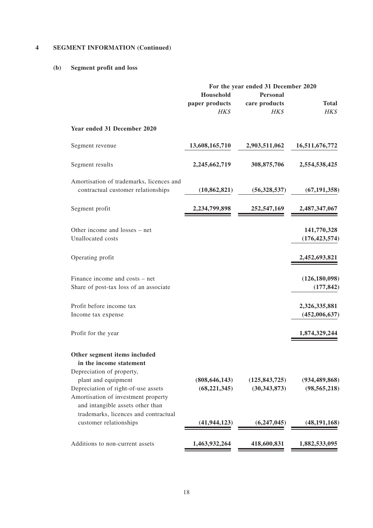# **4 SEGMENT INFORMATION (Continued)**

# **(b) Segment profit and loss**

|                                                                                                                                                                    | For the year ended 31 December 2020 |                                   |                                   |  |
|--------------------------------------------------------------------------------------------------------------------------------------------------------------------|-------------------------------------|-----------------------------------|-----------------------------------|--|
|                                                                                                                                                                    | Household<br>paper products<br>HK\$ | Personal<br>care products<br>HK\$ | <b>Total</b><br>HK\$              |  |
| Year ended 31 December 2020                                                                                                                                        |                                     |                                   |                                   |  |
| Segment revenue                                                                                                                                                    | 13,608,165,710                      | 2,903,511,062                     | 16,511,676,772                    |  |
| Segment results                                                                                                                                                    | 2,245,662,719                       | 308,875,706                       | 2,554,538,425                     |  |
| Amortisation of trademarks, licences and<br>contractual customer relationships                                                                                     | (10, 862, 821)                      | (56,328,537)                      | (67, 191, 358)                    |  |
| Segment profit                                                                                                                                                     | 2,234,799,898                       | 252,547,169                       | 2,487,347,067                     |  |
| Other income and losses – net<br>Unallocated costs                                                                                                                 |                                     |                                   | 141,770,328<br>(176, 423, 574)    |  |
| Operating profit                                                                                                                                                   |                                     |                                   | 2,452,693,821                     |  |
| Finance income and costs – net<br>Share of post-tax loss of an associate                                                                                           |                                     |                                   | (126, 180, 098)<br>(177, 842)     |  |
| Profit before income tax<br>Income tax expense                                                                                                                     |                                     |                                   | 2,326,335,881<br>(452,006,637)    |  |
| Profit for the year                                                                                                                                                |                                     |                                   | 1,874,329,244                     |  |
| Other segment items included<br>in the income statement                                                                                                            |                                     |                                   |                                   |  |
| Depreciation of property,<br>plant and equipment<br>Depreciation of right-of-use assets<br>Amortisation of investment property<br>and intangible assets other than | (808, 646, 143)<br>(68, 221, 345)   | (125, 843, 725)<br>(30, 343, 873) | (934, 489, 868)<br>(98, 565, 218) |  |
| trademarks, licences and contractual<br>customer relationships                                                                                                     | (41, 944, 123)                      | (6,247,045)                       | (48, 191, 168)                    |  |
| Additions to non-current assets                                                                                                                                    | 1,463,932,264                       | 418,600,831                       | 1,882,533,095                     |  |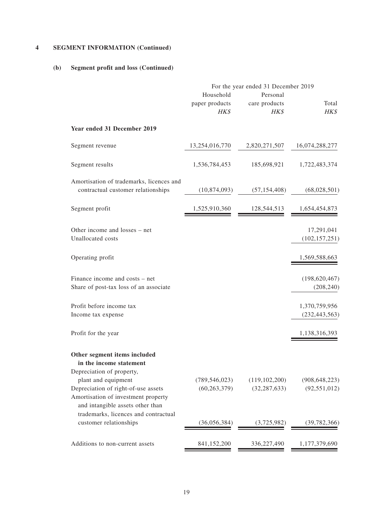# **4 SEGMENT INFORMATION (Continued)**

#### **(b) Segment profit and loss (Continued)**

|                                                                                                                                                                    | For the year ended 31 December 2019 |                                   |                                   |  |
|--------------------------------------------------------------------------------------------------------------------------------------------------------------------|-------------------------------------|-----------------------------------|-----------------------------------|--|
|                                                                                                                                                                    | Household<br>paper products<br>HK\$ | Personal<br>care products<br>HK\$ | Total<br>HK\$                     |  |
| Year ended 31 December 2019                                                                                                                                        |                                     |                                   |                                   |  |
| Segment revenue                                                                                                                                                    | 13,254,016,770                      | 2,820,271,507                     | 16,074,288,277                    |  |
| Segment results                                                                                                                                                    | 1,536,784,453                       | 185,698,921                       | 1,722,483,374                     |  |
| Amortisation of trademarks, licences and<br>contractual customer relationships                                                                                     | (10,874,093)                        | (57, 154, 408)                    | (68,028,501)                      |  |
| Segment profit                                                                                                                                                     | 1,525,910,360                       | 128,544,513                       | 1,654,454,873                     |  |
| Other income and losses – net<br>Unallocated costs                                                                                                                 |                                     |                                   | 17,291,041<br>(102, 157, 251)     |  |
| Operating profit                                                                                                                                                   |                                     |                                   | 1,569,588,663                     |  |
| Finance income and costs – net<br>Share of post-tax loss of an associate                                                                                           |                                     |                                   | (198, 620, 467)<br>(208, 240)     |  |
| Profit before income tax<br>Income tax expense                                                                                                                     |                                     |                                   | 1,370,759,956<br>(232, 443, 563)  |  |
| Profit for the year                                                                                                                                                |                                     |                                   | 1,138,316,393                     |  |
| Other segment items included<br>in the income statement                                                                                                            |                                     |                                   |                                   |  |
| Depreciation of property,<br>plant and equipment<br>Depreciation of right-of-use assets<br>Amortisation of investment property<br>and intangible assets other than | (789, 546, 023)<br>(60, 263, 379)   | (119, 102, 200)<br>(32, 287, 633) | (908, 648, 223)<br>(92, 551, 012) |  |
| trademarks, licences and contractual<br>customer relationships                                                                                                     | (36,056,384)                        | (3,725,982)                       | (39,782,366)                      |  |
| Additions to non-current assets                                                                                                                                    | 841,152,200                         | 336,227,490                       | 1,177,379,690                     |  |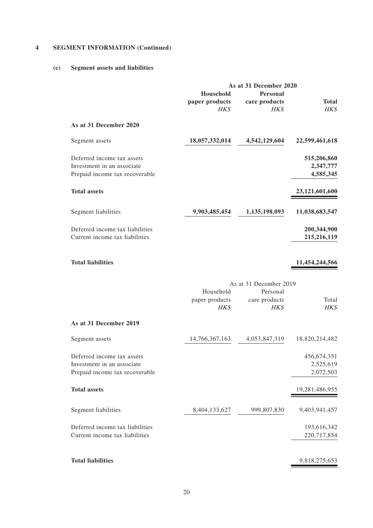# **4 SEGMENT INFORMATION (Continued)**

#### **(c) Segment assets and liabilities**

|                                                                                            | As at 31 December 2020<br>Household<br><b>Personal</b> |                                   |                                         |  |
|--------------------------------------------------------------------------------------------|--------------------------------------------------------|-----------------------------------|-----------------------------------------|--|
|                                                                                            | paper products<br>HK\$                                 | care products<br>HK\$             | <b>Total</b><br>HK\$                    |  |
| As at 31 December 2020                                                                     |                                                        |                                   |                                         |  |
| Segment assets                                                                             | 18,057,332,014                                         | 4,542,129,604                     | 22,599,461,618                          |  |
| Deferred income tax assets<br>Investment in an associate<br>Prepaid income tax recoverable |                                                        |                                   | 515,206,860<br>2,347,777<br>4,585,345   |  |
| <b>Total assets</b>                                                                        |                                                        |                                   | 23,121,601,600                          |  |
| Segment liabilities                                                                        | 9,903,485,454                                          | 1,135,198,093                     | 11,038,683,547                          |  |
| Deferred income tax liabilities<br>Current income tax liabilities                          |                                                        |                                   | 200,344,900<br>215,216,119              |  |
| <b>Total liabilities</b>                                                                   |                                                        |                                   | 11,454,244,566                          |  |
|                                                                                            |                                                        | As at 31 December 2019            |                                         |  |
|                                                                                            | Household<br>paper products<br>HK\$                    | Personal<br>care products<br>HK\$ | Total<br>HK\$                           |  |
| As at 31 December 2019                                                                     |                                                        |                                   |                                         |  |
| Segment assets                                                                             | 14,766,367,163                                         | 4,053,847,319                     | 18,820,214,482                          |  |
| Deferred income tax assets<br>Investment in an associate<br>Prepaid income tax recoverable |                                                        |                                   | 456, 674, 351<br>2,525,619<br>2,072,503 |  |
| <b>Total assets</b>                                                                        |                                                        |                                   | 19,281,486,955                          |  |
| Segment liabilities                                                                        | 8,404,133,627                                          | 999,807,830                       | 9,403,941,457                           |  |
| Deferred income tax liabilities<br>Current income tax liabilities                          |                                                        |                                   | 193,616,342<br>220,717,854              |  |
| <b>Total liabilities</b>                                                                   |                                                        |                                   | 9,818,275,653                           |  |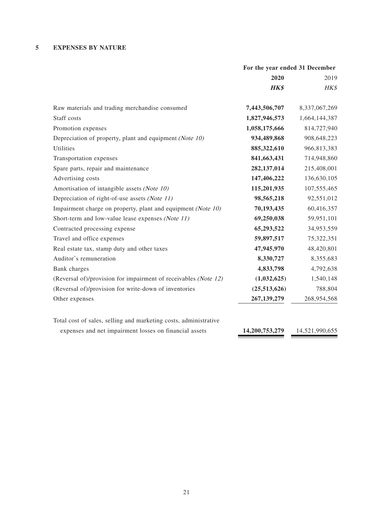### **5 EXPENSES BY NATURE**

|                                                                  | For the year ended 31 December |                |
|------------------------------------------------------------------|--------------------------------|----------------|
|                                                                  | 2020                           | 2019           |
|                                                                  | <b>HK\$</b>                    | HK\$           |
| Raw materials and trading merchandise consumed                   | 7,443,506,707                  | 8,337,067,269  |
| Staff costs                                                      | 1,827,946,573                  | 1,664,144,387  |
| Promotion expenses                                               | 1,058,175,666                  | 814,727,940    |
| Depreciation of property, plant and equipment (Note 10)          | 934,489,868                    | 908,648,223    |
| Utilities                                                        | 885,322,610                    | 966,813,383    |
| Transportation expenses                                          | 841,663,431                    | 714,948,860    |
| Spare parts, repair and maintenance                              | 282,137,014                    | 215,408,001    |
| Advertising costs                                                | 147,406,222                    | 136,630,105    |
| Amortisation of intangible assets (Note 10)                      | 115,201,935                    | 107,555,465    |
| Depreciation of right-of-use assets (Note 11)                    | 98,565,218                     | 92,551,012     |
| Impairment charge on property, plant and equipment (Note 10)     | 70,193,435                     | 60,416,357     |
| Short-term and low-value lease expenses (Note 11)                | 69,250,038                     | 59,951,101     |
| Contracted processing expense                                    | 65,293,522                     | 34,953,559     |
| Travel and office expenses                                       | 59,897,517                     | 75,322,351     |
| Real estate tax, stamp duty and other taxes                      | 47,945,970                     | 48,420,801     |
| Auditor's remuneration                                           | 8,330,727                      | 8,355,683      |
| Bank charges                                                     | 4,833,798                      | 4,792,638      |
| (Reversal of)/provision for impairment of receivables (Note 12)  | (1,032,625)                    | 1,540,148      |
| (Reversal of)/provision for write-down of inventories            | (25,513,626)                   | 788,804        |
| Other expenses                                                   | 267,139,279                    | 268,954,568    |
| Total cost of sales, selling and marketing costs, administrative |                                |                |
| expenses and net impairment losses on financial assets           | 14,200,753,279                 | 14,521,990,655 |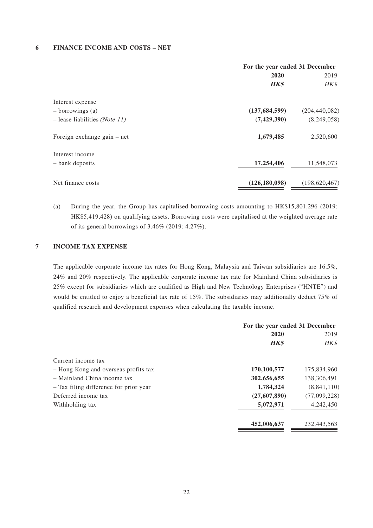#### **6 FINANCE INCOME AND COSTS – NET**

|                                        | For the year ended 31 December |                 |  |
|----------------------------------------|--------------------------------|-----------------|--|
|                                        | 2020                           | 2019            |  |
|                                        | <b>HK\$</b>                    | HK\$            |  |
| Interest expense                       |                                |                 |  |
| $-$ borrowings (a)                     | (137, 684, 599)                | (204, 440, 082) |  |
| $-$ lease liabilities <i>(Note 11)</i> | (7,429,390)                    | (8,249,058)     |  |
| Foreign exchange gain – net            | 1,679,485                      | 2,520,600       |  |
| Interest income                        |                                |                 |  |
| - bank deposits                        | 17,254,406                     | 11,548,073      |  |
| Net finance costs                      | (126, 180, 098)                | (198, 620, 467) |  |

(a) During the year, the Group has capitalised borrowing costs amounting to HK\$15,801,296 (2019: HK\$5,419,428) on qualifying assets. Borrowing costs were capitalised at the weighted average rate of its general borrowings of 3.46% (2019: 4.27%).

#### **7 INCOME TAX EXPENSE**

The applicable corporate income tax rates for Hong Kong, Malaysia and Taiwan subsidiaries are 16.5%, 24% and 20% respectively. The applicable corporate income tax rate for Mainland China subsidiaries is 25% except for subsidiaries which are qualified as High and New Technology Enterprises ("HNTE") and would be entitled to enjoy a beneficial tax rate of 15%. The subsidiaries may additionally deduct 75% of qualified research and development expenses when calculating the taxable income.

|                                        | For the year ended 31 December |              |
|----------------------------------------|--------------------------------|--------------|
|                                        | 2020                           | 2019         |
|                                        | <b>HK\$</b>                    | HK\$         |
| Current income tax                     |                                |              |
| - Hong Kong and overseas profits tax   | 170,100,577                    | 175,834,960  |
| - Mainland China income tax            | 302,656,655                    | 138,306,491  |
| - Tax filing difference for prior year | 1,784,324                      | (8,841,110)  |
| Deferred income tax                    | (27,607,890)                   | (77,099,228) |
| Withholding tax                        | 5,072,971                      | 4,242,450    |
|                                        | 452,006,637                    | 232,443,563  |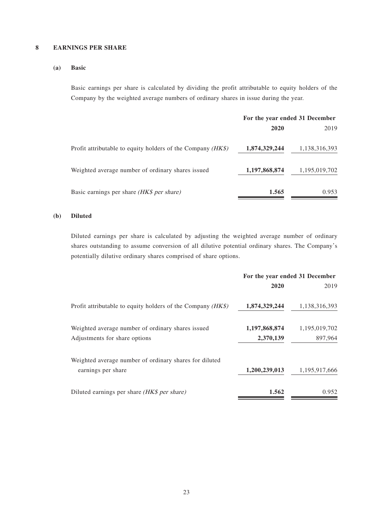#### **8 EARNINGS PER SHARE**

#### **(a) Basic**

Basic earnings per share is calculated by dividing the profit attributable to equity holders of the Company by the weighted average numbers of ordinary shares in issue during the year.

|                                                               | For the year ended 31 December |               |
|---------------------------------------------------------------|--------------------------------|---------------|
|                                                               | 2020                           | 2019          |
| Profit attributable to equity holders of the Company $(HK\$ ) | 1,874,329,244                  | 1,138,316,393 |
| Weighted average number of ordinary shares issued             | 1,197,868,874                  | 1,195,019,702 |
| Basic earnings per share <i>(HK\$ per share)</i>              | 1.565                          | 0.953         |

#### **(b) Diluted**

Diluted earnings per share is calculated by adjusting the weighted average number of ordinary shares outstanding to assume conversion of all dilutive potential ordinary shares. The Company's potentially dilutive ordinary shares comprised of share options.

|                                                               | For the year ended 31 December |               |
|---------------------------------------------------------------|--------------------------------|---------------|
|                                                               | 2020                           | 2019          |
| Profit attributable to equity holders of the Company $(HK\$ ) | 1,874,329,244                  | 1,138,316,393 |
| Weighted average number of ordinary shares issued             | 1,197,868,874                  | 1,195,019,702 |
| Adjustments for share options                                 | 2,370,139                      | 897,964       |
| Weighted average number of ordinary shares for diluted        |                                |               |
| earnings per share                                            | 1,200,239,013                  | 1,195,917,666 |
| Diluted earnings per share (HK\$ per share)                   | 1.562                          | 0.952         |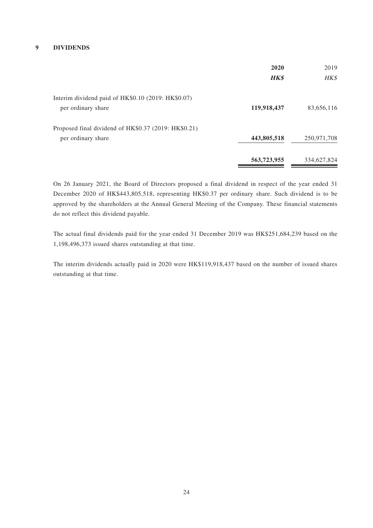#### **9 DIVIDENDS**

|                                                      | 2020        | 2019        |
|------------------------------------------------------|-------------|-------------|
|                                                      | <b>HK\$</b> | HK\$        |
| Interim dividend paid of HK\$0.10 (2019: HK\$0.07)   |             |             |
| per ordinary share                                   | 119,918,437 | 83,656,116  |
| Proposed final dividend of HK\$0.37 (2019: HK\$0.21) |             |             |
| per ordinary share                                   | 443,805,518 | 250,971,708 |
|                                                      | 563,723,955 | 334,627,824 |

On 26 January 2021, the Board of Directors proposed a final dividend in respect of the year ended 31 December 2020 of HK\$443,805,518, representing HK\$0.37 per ordinary share. Such dividend is to be approved by the shareholders at the Annual General Meeting of the Company. These financial statements do not reflect this dividend payable.

The actual final dividends paid for the year ended 31 December 2019 was HK\$251,684,239 based on the 1,198,496,373 issued shares outstanding at that time.

The interim dividends actually paid in 2020 were HK\$119,918,437 based on the number of issued shares outstanding at that time.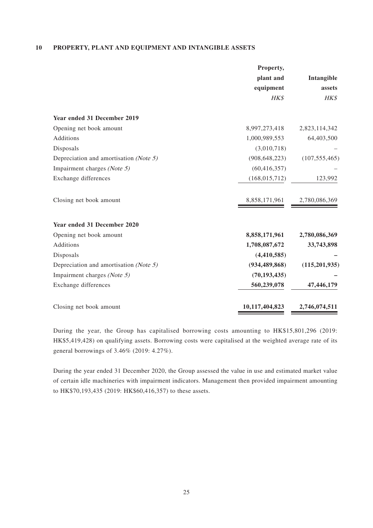#### **10 PROPERTY, PLANT AND EQUIPMENT AND INTANGIBLE ASSETS**

|                                                 | Property,       |                 |
|-------------------------------------------------|-----------------|-----------------|
|                                                 | plant and       | Intangible      |
|                                                 | equipment       | assets          |
|                                                 | HK\$            | HK\$            |
| Year ended 31 December 2019                     |                 |                 |
| Opening net book amount                         | 8,997,273,418   | 2,823,114,342   |
| Additions                                       | 1,000,989,553   | 64,403,500      |
| Disposals                                       | (3,010,718)     |                 |
| Depreciation and amortisation ( <i>Note 5</i> ) | (908, 648, 223) | (107, 555, 465) |
| Impairment charges (Note 5)                     | (60, 416, 357)  |                 |
| Exchange differences                            | (168, 015, 712) | 123,992         |
| Closing net book amount                         | 8,858,171,961   | 2,780,086,369   |
| Year ended 31 December 2020                     |                 |                 |
| Opening net book amount                         | 8,858,171,961   | 2,780,086,369   |
| Additions                                       | 1,708,087,672   | 33,743,898      |
| Disposals                                       | (4,410,585)     |                 |
| Depreciation and amortisation (Note 5)          | (934, 489, 868) | (115, 201, 935) |
| Impairment charges (Note 5)                     | (70, 193, 435)  |                 |
| Exchange differences                            | 560,239,078     | 47,446,179      |
| Closing net book amount                         | 10,117,404,823  | 2,746,074,511   |

During the year, the Group has capitalised borrowing costs amounting to HK\$15,801,296 (2019: HK\$5,419,428) on qualifying assets. Borrowing costs were capitalised at the weighted average rate of its general borrowings of 3.46% (2019: 4.27%).

During the year ended 31 December 2020, the Group assessed the value in use and estimated market value of certain idle machineries with impairment indicators. Management then provided impairment amounting to HK\$70,193,435 (2019: HK\$60,416,357) to these assets.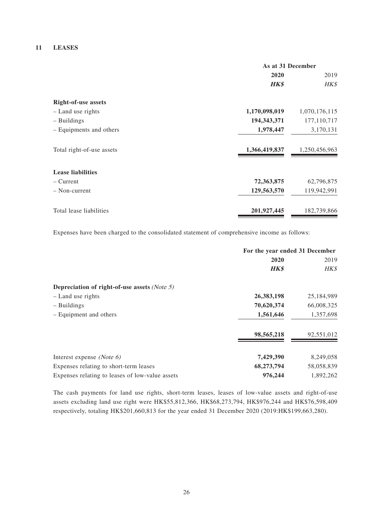#### **11 LEASES**

|                            | As at 31 December |               |
|----------------------------|-------------------|---------------|
|                            | 2020              | 2019          |
|                            | <b>HK\$</b>       | HK\$          |
| <b>Right-of-use assets</b> |                   |               |
| - Land use rights          | 1,170,098,019     | 1,070,176,115 |
| $-$ Buildings              | 194, 343, 371     | 177,110,717   |
| - Equipments and others    | 1,978,447         | 3,170,131     |
| Total right-of-use assets  | 1,366,419,837     | 1,250,456,963 |
| <b>Lease liabilities</b>   |                   |               |
| – Current                  | 72,363,875        | 62,796,875    |
| - Non-current              | 129,563,570       | 119,942,991   |
| Total lease liabilities    | 201,927,445       | 182,739,866   |

Expenses have been charged to the consolidated statement of comprehensive income as follows:

|                                                 | For the year ended 31 December |            |
|-------------------------------------------------|--------------------------------|------------|
|                                                 | 2020                           | 2019       |
|                                                 | <b>HK\$</b>                    | HK\$       |
| Depreciation of right-of-use assets (Note 5)    |                                |            |
| - Land use rights                               | 26,383,198                     | 25,184,989 |
| - Buildings                                     | 70,620,374                     | 66,008,325 |
| - Equipment and others                          | 1,561,646                      | 1,357,698  |
|                                                 | 98,565,218                     | 92,551,012 |
| Interest expense (Note $6$ )                    | 7,429,390                      | 8,249,058  |
| Expenses relating to short-term leases          | 68,273,794                     | 58,058,839 |
| Expenses relating to leases of low-value assets | 976,244                        | 1,892,262  |

The cash payments for land use rights, short-term leases, leases of low-value assets and right-of-use assets excluding land use right were HK\$55,812,366, HK\$68,273,794, HK\$976,244 and HK\$76,598,409 respectively, totaling HK\$201,660,813 for the year ended 31 December 2020 (2019:HK\$199,663,280).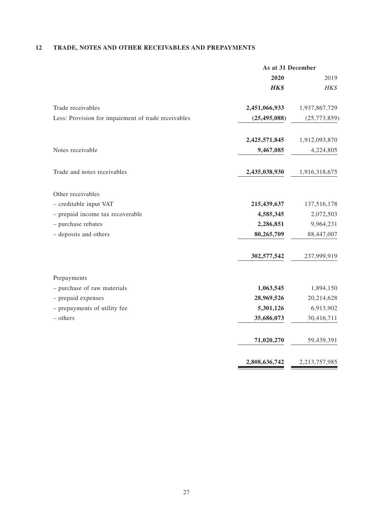# **12 TRADE, NOTES AND OTHER RECEIVABLES AND PREPAYMENTS**

|                                                     | As at 31 December |                |
|-----------------------------------------------------|-------------------|----------------|
|                                                     | 2020              | 2019           |
|                                                     | HK\$              | HK\$           |
| Trade receivables                                   | 2,451,066,933     | 1,937,867,729  |
| Less: Provision for impairment of trade receivables | (25, 495, 088)    | (25, 773, 859) |
|                                                     | 2,425,571,845     | 1,912,093,870  |
| Notes receivable                                    | 9,467,085         | 4,224,805      |
| Trade and notes receivables                         | 2,435,038,930     | 1,916,318,675  |
| Other receivables                                   |                   |                |
| - creditable input VAT                              | 215,439,637       | 137,516,178    |
| - prepaid income tax recoverable                    | 4,585,345         | 2,072,503      |
| - purchase rebates                                  | 2,286,851         | 9,964,231      |
| - deposits and others                               | 80,265,709        | 88,447,007     |
|                                                     | 302,577,542       | 237,999,919    |
| Prepayments                                         |                   |                |
| - purchase of raw materials                         | 1,063,545         | 1,894,150      |
| - prepaid expenses                                  | 28,969,526        | 20,214,628     |
| - prepayments of utility fee                        | 5,301,126         | 6,913,902      |
| - others                                            | 35,686,073        | 30,416,711     |
|                                                     | 71,020,270        | 59,439,391     |
|                                                     | 2,808,636,742     | 2,213,757,985  |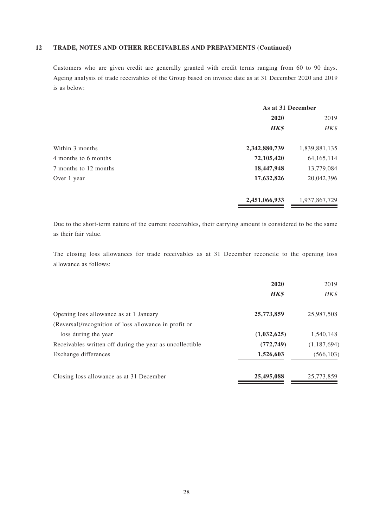#### **12 TRADE, NOTES AND OTHER RECEIVABLES AND PREPAYMENTS (Continued)**

Customers who are given credit are generally granted with credit terms ranging from 60 to 90 days. Ageing analysis of trade receivables of the Group based on invoice date as at 31 December 2020 and 2019 is as below:

|                       | As at 31 December |               |
|-----------------------|-------------------|---------------|
|                       | 2020              | 2019          |
|                       | <b>HK\$</b>       | HK\$          |
| Within 3 months       | 2,342,880,739     | 1,839,881,135 |
| 4 months to 6 months  | 72,105,420        | 64, 165, 114  |
| 7 months to 12 months | 18,447,948        | 13,779,084    |
| Over 1 year           | 17,632,826        | 20,042,396    |
|                       | 2,451,066,933     | 1,937,867,729 |

Due to the short-term nature of the current receivables, their carrying amount is considered to be the same as their fair value.

The closing loss allowances for trade receivables as at 31 December reconcile to the opening loss allowance as follows:

|                                                          | 2020<br><b>HK\$</b> | 2019<br>HK\$ |
|----------------------------------------------------------|---------------------|--------------|
| Opening loss allowance as at 1 January                   | 25,773,859          | 25,987,508   |
| (Reversal)/recognition of loss allowance in profit or    |                     |              |
| loss during the year                                     | (1,032,625)         | 1,540,148    |
| Receivables written off during the year as uncollectible | (772, 749)          | (1,187,694)  |
| Exchange differences                                     | 1,526,603           | (566, 103)   |
| Closing loss allowance as at 31 December                 | 25,495,088          | 25,773,859   |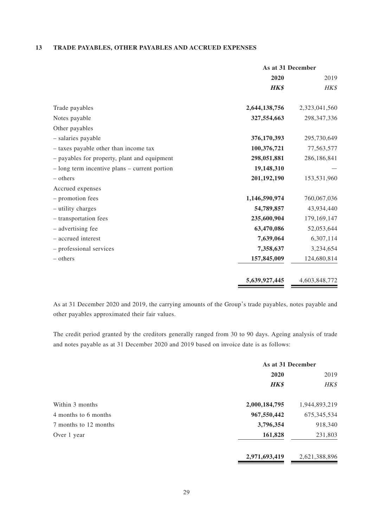#### **13 TRADE PAYABLES, OTHER PAYABLES AND ACCRUED EXPENSES**

|                                               | As at 31 December |               |
|-----------------------------------------------|-------------------|---------------|
|                                               | 2020              | 2019          |
|                                               | <b>HK\$</b>       | HK\$          |
| Trade payables                                | 2,644,138,756     | 2,323,041,560 |
| Notes payable                                 | 327,554,663       | 298, 347, 336 |
| Other payables                                |                   |               |
| - salaries payable                            | 376,170,393       | 295,730,649   |
| - taxes payable other than income tax         | 100,376,721       | 77,563,577    |
| - payables for property, plant and equipment  | 298,051,881       | 286,186,841   |
| - long term incentive plans – current portion | 19,148,310        |               |
| – others                                      | 201,192,190       | 153,531,960   |
| Accrued expenses                              |                   |               |
| - promotion fees                              | 1,146,590,974     | 760,067,036   |
| - utility charges                             | 54,789,857        | 43,934,440    |
| - transportation fees                         | 235,600,904       | 179,169,147   |
| - advertising fee                             | 63,470,086        | 52,053,644    |
| - accrued interest                            | 7,639,064         | 6,307,114     |
| - professional services                       | 7,358,637         | 3,234,654     |
| - others                                      | 157,845,009       | 124,680,814   |
|                                               | 5,639,927,445     | 4,603,848,772 |

As at 31 December 2020 and 2019, the carrying amounts of the Group's trade payables, notes payable and other payables approximated their fair values.

The credit period granted by the creditors generally ranged from 30 to 90 days. Ageing analysis of trade and notes payable as at 31 December 2020 and 2019 based on invoice date is as follows:

|                       | As at 31 December |               |
|-----------------------|-------------------|---------------|
|                       | 2020              | 2019          |
|                       | <b>HK\$</b>       | HK\$          |
| Within 3 months       | 2,000,184,795     | 1,944,893,219 |
| 4 months to 6 months  | 967,550,442       | 675, 345, 534 |
| 7 months to 12 months | 3,796,354         | 918,340       |
| Over 1 year           | 161,828           | 231,803       |
|                       | 2,971,693,419     | 2,621,388,896 |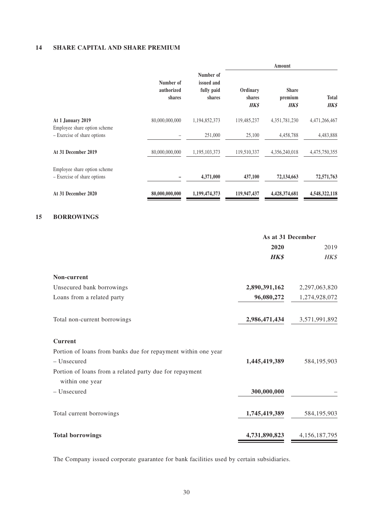#### **14 SHARE CAPITAL AND SHARE PREMIUM**

|                                                             |                                   |                                                 | Amount                            |                                        |                             |
|-------------------------------------------------------------|-----------------------------------|-------------------------------------------------|-----------------------------------|----------------------------------------|-----------------------------|
|                                                             | Number of<br>authorized<br>shares | Number of<br>issued and<br>fully paid<br>shares | Ordinary<br>shares<br><b>HK\$</b> | <b>Share</b><br>premium<br><b>HK\$</b> | <b>Total</b><br><b>HK\$</b> |
| At 1 January 2019                                           | 80,000,000,000                    | 1,194,852,373                                   | 119,485,237                       | 4,351,781,230                          | 4,471,266,467               |
| Employee share option scheme<br>- Exercise of share options |                                   | 251,000                                         | 25,100                            | 4,458,788                              | 4,483,888                   |
| At 31 December 2019                                         | 80,000,000,000                    | 1,195,103,373                                   | 119,510,337                       | 4,356,240,018                          | 4,475,750,355               |
| Employee share option scheme<br>- Exercise of share options |                                   | 4,371,000                                       | 437,100                           | 72,134,663                             | 72,571,763                  |
| At 31 December 2020                                         | 80,000,000,000                    | 1,199,474,373                                   | 119,947,437                       | 4,428,374,681                          | 4,548,322,118               |
| <b>BORROWINGS</b>                                           |                                   |                                                 |                                   |                                        |                             |
|                                                             |                                   |                                                 | As at 31 December                 |                                        |                             |
|                                                             |                                   |                                                 |                                   | 2020                                   | 2019                        |
|                                                             |                                   |                                                 |                                   | <b>HK\$</b>                            | HK\$                        |
| Non-current                                                 |                                   |                                                 |                                   |                                        |                             |
| Unsecured bank borrowings                                   |                                   |                                                 |                                   | 2,890,391,162                          | 2,297,063,820               |
| Loans from a related party                                  |                                   |                                                 |                                   | 96,080,272                             | 1,274,928,072               |

Total non-current borrowings **2,986,471,434** 3,571,991,892

# **Current**

**15 BORROWINGS**

| Portion of loans from banks due for repayment within one year |               |                  |
|---------------------------------------------------------------|---------------|------------------|
| - Unsecured                                                   | 1,445,419,389 | 584, 195, 903    |
| Portion of loans from a related party due for repayment       |               |                  |
| within one year                                               |               |                  |
| - Unsecured                                                   | 300,000,000   |                  |
| Total current borrowings                                      | 1,745,419,389 | 584, 195, 903    |
| <b>Total borrowings</b>                                       | 4,731,890,823 | 4, 156, 187, 795 |

The Company issued corporate guarantee for bank facilities used by certain subsidiaries.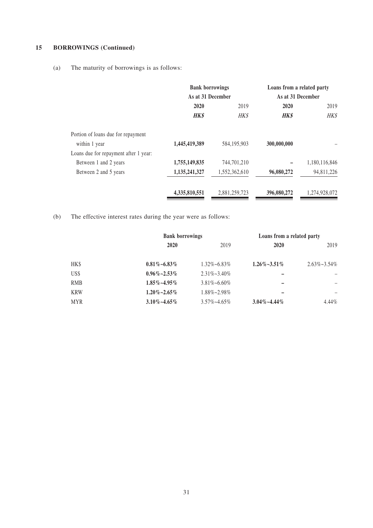# **15 BORROWINGS (Continued)**

(a) The maturity of borrowings is as follows:

|                                       | <b>Bank borrowings</b><br>As at 31 December |               | Loans from a related party<br>As at 31 December |               |
|---------------------------------------|---------------------------------------------|---------------|-------------------------------------------------|---------------|
|                                       |                                             |               |                                                 |               |
|                                       | 2020                                        | 2019          | 2020                                            | 2019          |
|                                       | <b>HK\$</b>                                 | <b>HK\$</b>   | <b>HK\$</b>                                     | HK\$          |
| Portion of loans due for repayment    |                                             |               |                                                 |               |
| within 1 year                         | 1,445,419,389                               | 584,195,903   | 300,000,000                                     |               |
| Loans due for repayment after 1 year: |                                             |               |                                                 |               |
| Between 1 and 2 years                 | 1,755,149,835                               | 744,701,210   |                                                 | 1,180,116,846 |
| Between 2 and 5 years                 | 1,135,241,327                               | 1,552,362,610 | 96,080,272                                      | 94,811,226    |
|                                       | 4,335,810,551                               | 2,881,259,723 | 396,080,272                                     | 1,274,928,072 |

(b) The effective interest rates during the year were as follows:

|            |                      | <b>Bank borrowings</b> |                      | Loans from a related party |  |
|------------|----------------------|------------------------|----------------------|----------------------------|--|
|            | 2020                 | 2019                   | <b>2020</b>          | 2019                       |  |
| HK\$       | $0.81\% - 6.83\%$    | $1.32\% - 6.83\%$      | $1.26\% \sim 3.51\%$ | $2.63\% \sim 3.54\%$       |  |
| US\$       | $0.96\%$ ~2.53%      | $2.31\% \sim 3.40\%$   |                      |                            |  |
| <b>RMB</b> | $1.85\%$ ~4.95%      | $3.81\% \sim 6.60\%$   |                      |                            |  |
| <b>KRW</b> | $1.20\% \sim 2.65\%$ | 1.88%~2.98%            |                      |                            |  |
| <b>MYR</b> | $3.10\% - 4.65\%$    | $3.57\% \sim 4.65\%$   | $3.04\% - 4.44\%$    | $4.44\%$                   |  |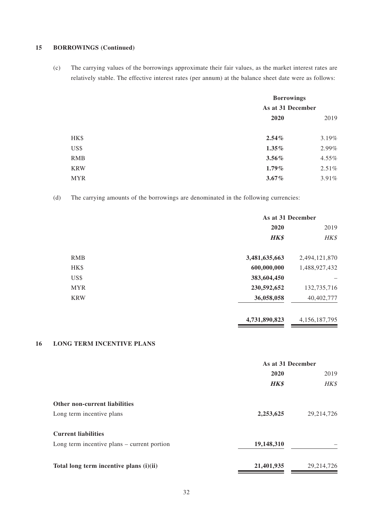#### **15 BORROWINGS (Continued)**

(c) The carrying values of the borrowings approximate their fair values, as the market interest rates are relatively stable. The effective interest rates (per annum) at the balance sheet date were as follows:

|            | <b>Borrowings</b><br>As at 31 December |          |
|------------|----------------------------------------|----------|
|            |                                        |          |
|            | 2020                                   | 2019     |
|            |                                        |          |
| HK\$       | 2.54%                                  | 3.19%    |
| US\$       | $1.35\%$                               | 2.99%    |
| <b>RMB</b> | $3.56\%$                               | $4.55\%$ |
| <b>KRW</b> | $1.79\%$                               | $2.51\%$ |
| <b>MYR</b> | $3.67\%$                               | 3.91%    |

(d) The carrying amounts of the borrowings are denominated in the following currencies:

|            |               | As at 31 December |  |
|------------|---------------|-------------------|--|
|            | 2020          | 2019              |  |
|            | <b>HK\$</b>   | HK\$              |  |
| <b>RMB</b> | 3,481,635,663 | 2,494,121,870     |  |
| HK\$       | 600,000,000   | 1,488,927,432     |  |
| US\$       | 383,604,450   |                   |  |
| <b>MYR</b> | 230,592,652   | 132,735,716       |  |
| <b>KRW</b> | 36,058,058    | 40,402,777        |  |
|            |               |                   |  |

**4,731,890,823** 4,156,187,795

#### **16 LONG TERM INCENTIVE PLANS**

|                                               | As at 31 December |              |  |
|-----------------------------------------------|-------------------|--------------|--|
|                                               | 2020              | 2019         |  |
|                                               | <b>HK\$</b>       | <b>HK\$</b>  |  |
| <b>Other non-current liabilities</b>          |                   |              |  |
| Long term incentive plans                     | 2,253,625         | 29, 214, 726 |  |
| <b>Current liabilities</b>                    |                   |              |  |
| Long term incentive plans $-$ current portion | 19,148,310        |              |  |
| Total long term incentive plans (i)(ii)       | 21,401,935        | 29, 214, 726 |  |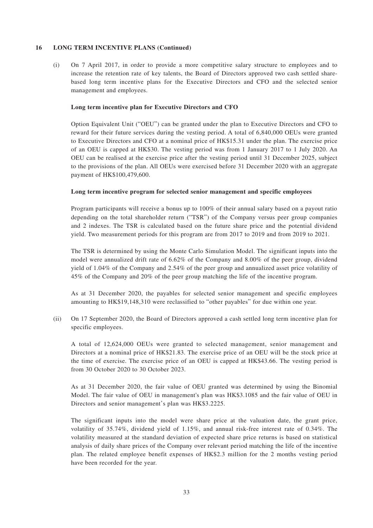#### **16 LONG TERM INCENTIVE PLANS (Continued)**

(i) On 7 April 2017, in order to provide a more competitive salary structure to employees and to increase the retention rate of key talents, the Board of Directors approved two cash settled sharebased long term incentive plans for the Executive Directors and CFO and the selected senior management and employees.

#### **Long term incentive plan for Executive Directors and CFO**

Option Equivalent Unit ("OEU") can be granted under the plan to Executive Directors and CFO to reward for their future services during the vesting period. A total of 6,840,000 OEUs were granted to Executive Directors and CFO at a nominal price of HK\$15.31 under the plan. The exercise price of an OEU is capped at HK\$30. The vesting period was from 1 January 2017 to 1 July 2020. An OEU can be realised at the exercise price after the vesting period until 31 December 2025, subject to the provisions of the plan. All OEUs were exercised before 31 December 2020 with an aggregate payment of HK\$100,479,600.

#### **Long term incentive program for selected senior management and specific employees**

Program participants will receive a bonus up to 100% of their annual salary based on a payout ratio depending on the total shareholder return ("TSR") of the Company versus peer group companies and 2 indexes. The TSR is calculated based on the future share price and the potential dividend yield. Two measurement periods for this program are from 2017 to 2019 and from 2019 to 2021.

The TSR is determined by using the Monte Carlo Simulation Model. The significant inputs into the model were annualized drift rate of 6.62% of the Company and 8.00% of the peer group, dividend yield of 1.04% of the Company and 2.54% of the peer group and annualized asset price volatility of 45% of the Company and 20% of the peer group matching the life of the incentive program.

As at 31 December 2020, the payables for selected senior management and specific employees amounting to HK\$19,148,310 were reclassified to "other payables" for due within one year.

(ii) On 17 September 2020, the Board of Directors approved a cash settled long term incentive plan for specific employees.

A total of 12,624,000 OEUs were granted to selected management, senior management and Directors at a nominal price of HK\$21.83. The exercise price of an OEU will be the stock price at the time of exercise. The exercise price of an OEU is capped at HK\$43.66. The vesting period is from 30 October 2020 to 30 October 2023.

As at 31 December 2020, the fair value of OEU granted was determined by using the Binomial Model. The fair value of OEU in management's plan was HK\$3.1085 and the fair value of OEU in Directors and senior management's plan was HK\$3.2225.

The significant inputs into the model were share price at the valuation date, the grant price, volatility of 35.74%, dividend yield of 1.15%, and annual risk-free interest rate of 0.34%. The volatility measured at the standard deviation of expected share price returns is based on statistical analysis of daily share prices of the Company over relevant period matching the life of the incentive plan. The related employee benefit expenses of HK\$2.3 million for the 2 months vesting period have been recorded for the year.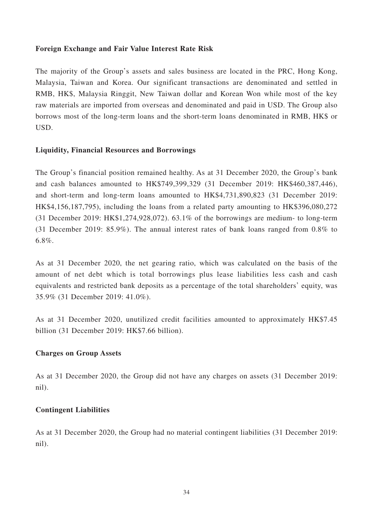# **Foreign Exchange and Fair Value Interest Rate Risk**

The majority of the Group's assets and sales business are located in the PRC, Hong Kong, Malaysia, Taiwan and Korea. Our significant transactions are denominated and settled in RMB, HK\$, Malaysia Ringgit, New Taiwan dollar and Korean Won while most of the key raw materials are imported from overseas and denominated and paid in USD. The Group also borrows most of the long-term loans and the short-term loans denominated in RMB, HK\$ or USD.

# **Liquidity, Financial Resources and Borrowings**

The Group's financial position remained healthy. As at 31 December 2020, the Group's bank and cash balances amounted to HK\$749,399,329 (31 December 2019: HK\$460,387,446), and short-term and long-term loans amounted to HK\$4,731,890,823 (31 December 2019: HK\$4,156,187,795), including the loans from a related party amounting to HK\$396,080,272 (31 December 2019: HK\$1,274,928,072). 63.1% of the borrowings are medium- to long-term (31 December 2019: 85.9%). The annual interest rates of bank loans ranged from 0.8% to 6.8%.

As at 31 December 2020, the net gearing ratio, which was calculated on the basis of the amount of net debt which is total borrowings plus lease liabilities less cash and cash equivalents and restricted bank deposits as a percentage of the total shareholders' equity, was 35.9% (31 December 2019: 41.0%).

As at 31 December 2020, unutilized credit facilities amounted to approximately HK\$7.45 billion (31 December 2019: HK\$7.66 billion).

# **Charges on Group Assets**

As at 31 December 2020, the Group did not have any charges on assets (31 December 2019: nil).

# **Contingent Liabilities**

As at 31 December 2020, the Group had no material contingent liabilities (31 December 2019: nil).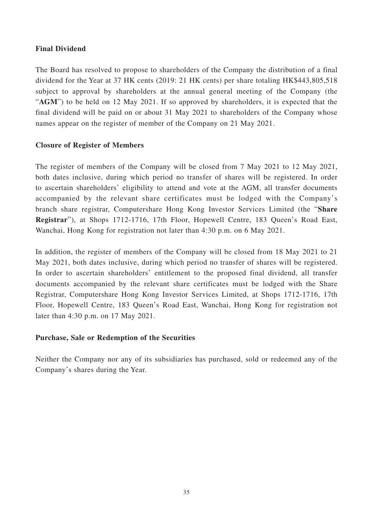# **Final Dividend**

The Board has resolved to propose to shareholders of the Company the distribution of a final dividend for the Year at 37 HK cents (2019: 21 HK cents) per share totaling HK\$443,805,518 subject to approval by shareholders at the annual general meeting of the Company (the "AGM") to be held on 12 May 2021. If so approved by shareholders, it is expected that the final dividend will be paid on or about 31 May 2021 to shareholders of the Company whose names appear on the register of member of the Company on 21 May 2021.

# **Closure of Register of Members**

The register of members of the Company will be closed from 7 May 2021 to 12 May 2021, both dates inclusive, during which period no transfer of shares will be registered. In order to ascertain shareholders' eligibility to attend and vote at the AGM, all transfer documents accompanied by the relevant share certificates must be lodged with the Company's branch share registrar, Computershare Hong Kong Investor Services Limited (the "**Share Registrar**"), at Shops 1712-1716, 17th Floor, Hopewell Centre, 183 Queen's Road East, Wanchai, Hong Kong for registration not later than 4:30 p.m. on 6 May 2021.

In addition, the register of members of the Company will be closed from 18 May 2021 to 21 May 2021, both dates inclusive, during which period no transfer of shares will be registered. In order to ascertain shareholders' entitlement to the proposed final dividend, all transfer documents accompanied by the relevant share certificates must be lodged with the Share Registrar, Computershare Hong Kong Investor Services Limited, at Shops 1712-1716, 17th Floor, Hopewell Centre, 183 Queen's Road East, Wanchai, Hong Kong for registration not later than 4:30 p.m. on 17 May 2021.

# **Purchase, Sale or Redemption of the Securities**

Neither the Company nor any of its subsidiaries has purchased, sold or redeemed any of the Company's shares during the Year.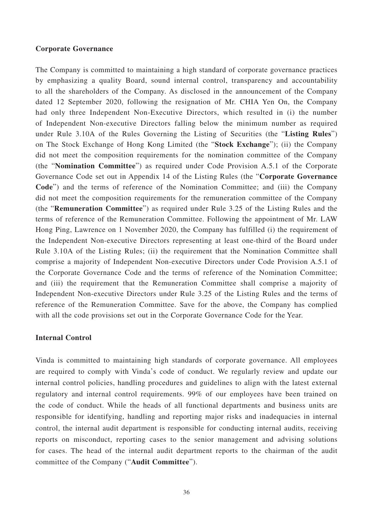#### **Corporate Governance**

The Company is committed to maintaining a high standard of corporate governance practices by emphasizing a quality Board, sound internal control, transparency and accountability to all the shareholders of the Company. As disclosed in the announcement of the Company dated 12 September 2020, following the resignation of Mr. CHIA Yen On, the Company had only three Independent Non-Executive Directors, which resulted in (i) the number of Independent Non-executive Directors falling below the minimum number as required under Rule 3.10A of the Rules Governing the Listing of Securities (the "**Listing Rules**") on The Stock Exchange of Hong Kong Limited (the "**Stock Exchange**"); (ii) the Company did not meet the composition requirements for the nomination committee of the Company (the "**Nomination Committee**") as required under Code Provision A.5.1 of the Corporate Governance Code set out in Appendix 14 of the Listing Rules (the "**Corporate Governance Code**") and the terms of reference of the Nomination Committee; and (iii) the Company did not meet the composition requirements for the remuneration committee of the Company (the "**Remuneration Committee**") as required under Rule 3.25 of the Listing Rules and the terms of reference of the Remuneration Committee. Following the appointment of Mr. LAW Hong Ping, Lawrence on 1 November 2020, the Company has fulfilled (i) the requirement of the Independent Non-executive Directors representing at least one-third of the Board under Rule 3.10A of the Listing Rules; (ii) the requirement that the Nomination Committee shall comprise a majority of Independent Non-executive Directors under Code Provision A.5.1 of the Corporate Governance Code and the terms of reference of the Nomination Committee; and (iii) the requirement that the Remuneration Committee shall comprise a majority of Independent Non-executive Directors under Rule 3.25 of the Listing Rules and the terms of reference of the Remuneration Committee. Save for the above, the Company has complied with all the code provisions set out in the Corporate Governance Code for the Year.

#### **Internal Control**

Vinda is committed to maintaining high standards of corporate governance. All employees are required to comply with Vinda's code of conduct. We regularly review and update our internal control policies, handling procedures and guidelines to align with the latest external regulatory and internal control requirements. 99% of our employees have been trained on the code of conduct. While the heads of all functional departments and business units are responsible for identifying, handling and reporting major risks and inadequacies in internal control, the internal audit department is responsible for conducting internal audits, receiving reports on misconduct, reporting cases to the senior management and advising solutions for cases. The head of the internal audit department reports to the chairman of the audit committee of the Company ("**Audit Committee**").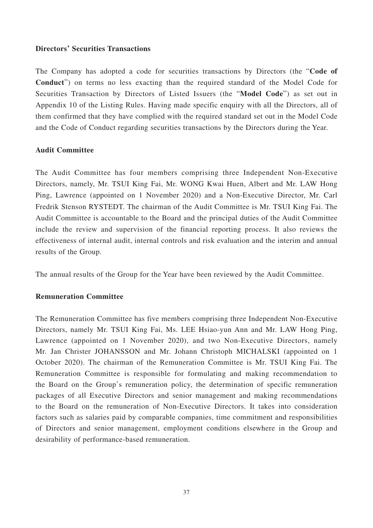# **Directors' Securities Transactions**

The Company has adopted a code for securities transactions by Directors (the "**Code of Conduct**") on terms no less exacting than the required standard of the Model Code for Securities Transaction by Directors of Listed Issuers (the "**Model Code**") as set out in Appendix 10 of the Listing Rules. Having made specific enquiry with all the Directors, all of them confirmed that they have complied with the required standard set out in the Model Code and the Code of Conduct regarding securities transactions by the Directors during the Year.

# **Audit Committee**

The Audit Committee has four members comprising three Independent Non-Executive Directors, namely, Mr. TSUI King Fai, Mr. WONG Kwai Huen, Albert and Mr. LAW Hong Ping, Lawrence (appointed on 1 November 2020) and a Non-Executive Director, Mr. Carl Fredrik Stenson RYSTEDT. The chairman of the Audit Committee is Mr. TSUI King Fai. The Audit Committee is accountable to the Board and the principal duties of the Audit Committee include the review and supervision of the financial reporting process. It also reviews the effectiveness of internal audit, internal controls and risk evaluation and the interim and annual results of the Group.

The annual results of the Group for the Year have been reviewed by the Audit Committee.

# **Remuneration Committee**

The Remuneration Committee has five members comprising three Independent Non-Executive Directors, namely Mr. TSUI King Fai, Ms. LEE Hsiao-yun Ann and Mr. LAW Hong Ping, Lawrence (appointed on 1 November 2020), and two Non-Executive Directors, namely Mr. Jan Christer JOHANSSON and Mr. Johann Christoph MICHALSKI (appointed on 1 October 2020). The chairman of the Remuneration Committee is Mr. TSUI King Fai. The Remuneration Committee is responsible for formulating and making recommendation to the Board on the Group's remuneration policy, the determination of specific remuneration packages of all Executive Directors and senior management and making recommendations to the Board on the remuneration of Non-Executive Directors. It takes into consideration factors such as salaries paid by comparable companies, time commitment and responsibilities of Directors and senior management, employment conditions elsewhere in the Group and desirability of performance-based remuneration.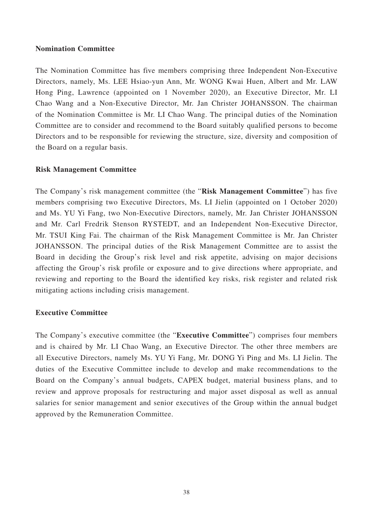# **Nomination Committee**

The Nomination Committee has five members comprising three Independent Non-Executive Directors, namely, Ms. LEE Hsiao-yun Ann, Mr. WONG Kwai Huen, Albert and Mr. LAW Hong Ping, Lawrence (appointed on 1 November 2020), an Executive Director, Mr. LI Chao Wang and a Non-Executive Director, Mr. Jan Christer JOHANSSON. The chairman of the Nomination Committee is Mr. LI Chao Wang. The principal duties of the Nomination Committee are to consider and recommend to the Board suitably qualified persons to become Directors and to be responsible for reviewing the structure, size, diversity and composition of the Board on a regular basis.

# **Risk Management Committee**

The Company's risk management committee (the "**Risk Management Committee**") has five members comprising two Executive Directors, Ms. LI Jielin (appointed on 1 October 2020) and Ms. YU Yi Fang, two Non-Executive Directors, namely, Mr. Jan Christer JOHANSSON and Mr. Carl Fredrik Stenson RYSTEDT, and an Independent Non-Executive Director, Mr. TSUI King Fai. The chairman of the Risk Management Committee is Mr. Jan Christer JOHANSSON. The principal duties of the Risk Management Committee are to assist the Board in deciding the Group's risk level and risk appetite, advising on major decisions affecting the Group's risk profile or exposure and to give directions where appropriate, and reviewing and reporting to the Board the identified key risks, risk register and related risk mitigating actions including crisis management.

# **Executive Committee**

The Company's executive committee (the "**Executive Committee**") comprises four members and is chaired by Mr. LI Chao Wang, an Executive Director. The other three members are all Executive Directors, namely Ms. YU Yi Fang, Mr. DONG Yi Ping and Ms. LI Jielin. The duties of the Executive Committee include to develop and make recommendations to the Board on the Company's annual budgets, CAPEX budget, material business plans, and to review and approve proposals for restructuring and major asset disposal as well as annual salaries for senior management and senior executives of the Group within the annual budget approved by the Remuneration Committee.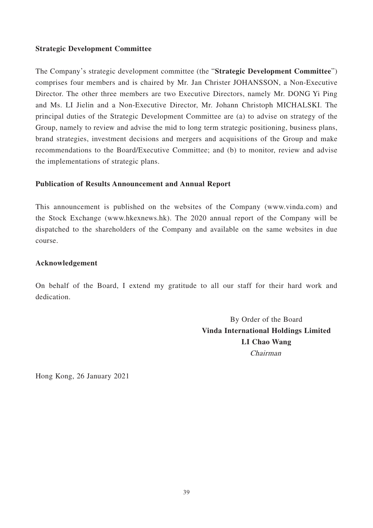# **Strategic Development Committee**

The Company's strategic development committee (the "**Strategic Development Committee**") comprises four members and is chaired by Mr. Jan Christer JOHANSSON, a Non-Executive Director. The other three members are two Executive Directors, namely Mr. DONG Yi Ping and Ms. LI Jielin and a Non-Executive Director, Mr. Johann Christoph MICHALSKI. The principal duties of the Strategic Development Committee are (a) to advise on strategy of the Group, namely to review and advise the mid to long term strategic positioning, business plans, brand strategies, investment decisions and mergers and acquisitions of the Group and make recommendations to the Board/Executive Committee; and (b) to monitor, review and advise the implementations of strategic plans.

# **Publication of Results Announcement and Annual Report**

This announcement is published on the websites of the Company (www.vinda.com) and the Stock Exchange (www.hkexnews.hk). The 2020 annual report of the Company will be dispatched to the shareholders of the Company and available on the same websites in due course.

# **Acknowledgement**

On behalf of the Board, I extend my gratitude to all our staff for their hard work and dedication.

> By Order of the Board **Vinda International Holdings Limited LI Chao Wang** Chairman

Hong Kong, 26 January 2021